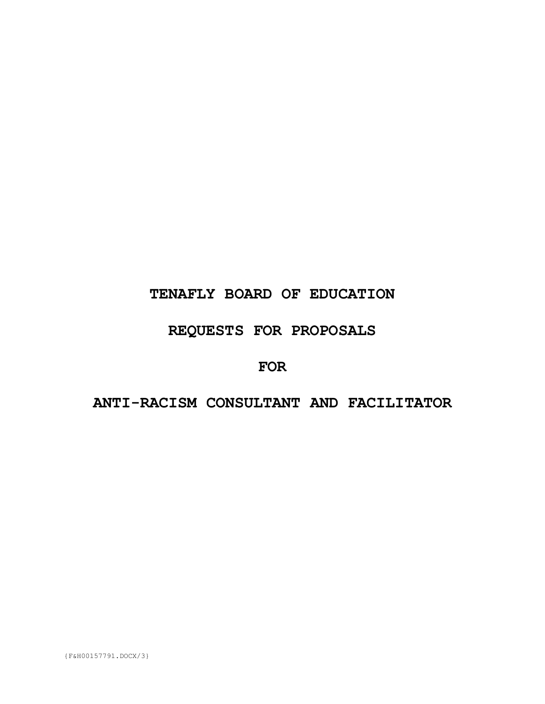# **TENAFLY BOARD OF EDUCATION**

# **REQUESTS FOR PROPOSALS**

## **FOR**

# **ANTI-RACISM CONSULTANT AND FACILITATOR**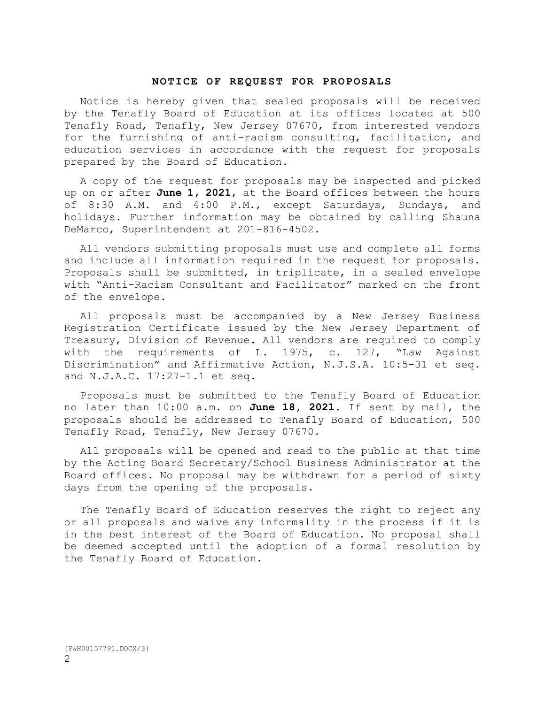#### **NOTICE OF REQUEST FOR PROPOSALS**

Notice is hereby given that sealed proposals will be received by the Tenafly Board of Education at its offices located at 500 Tenafly Road, Tenafly, New Jersey 07670, from interested vendors for the furnishing of anti-racism consulting, facilitation, and education services in accordance with the request for proposals prepared by the Board of Education.

A copy of the request for proposals may be inspected and picked up on or after **June 1, 2021**, at the Board offices between the hours of 8:30 A.M. and 4:00 P.M., except Saturdays, Sundays, and holidays. Further information may be obtained by calling Shauna DeMarco, Superintendent at 201-816-4502.

All vendors submitting proposals must use and complete all forms and include all information required in the request for proposals. Proposals shall be submitted, in triplicate, in a sealed envelope with "Anti-Racism Consultant and Facilitator" marked on the front of the envelope.

All proposals must be accompanied by a New Jersey Business Registration Certificate issued by the New Jersey Department of Treasury, Division of Revenue. All vendors are required to comply with the requirements of L. 1975, c. 127, "Law Against Discrimination" and Affirmative Action, N.J.S.A. 10:5-31 et seq*.* and N.J.A.C. 17:27-1.1 et seq*.*

Proposals must be submitted to the Tenafly Board of Education no later than 10:00 a.m. on **June 18, 2021.** If sent by mail, the proposals should be addressed to Tenafly Board of Education, 500 Tenafly Road, Tenafly, New Jersey 07670.

All proposals will be opened and read to the public at that time by the Acting Board Secretary/School Business Administrator at the Board offices. No proposal may be withdrawn for a period of sixty days from the opening of the proposals.

The Tenafly Board of Education reserves the right to reject any or all proposals and waive any informality in the process if it is in the best interest of the Board of Education. No proposal shall be deemed accepted until the adoption of a formal resolution by the Tenafly Board of Education.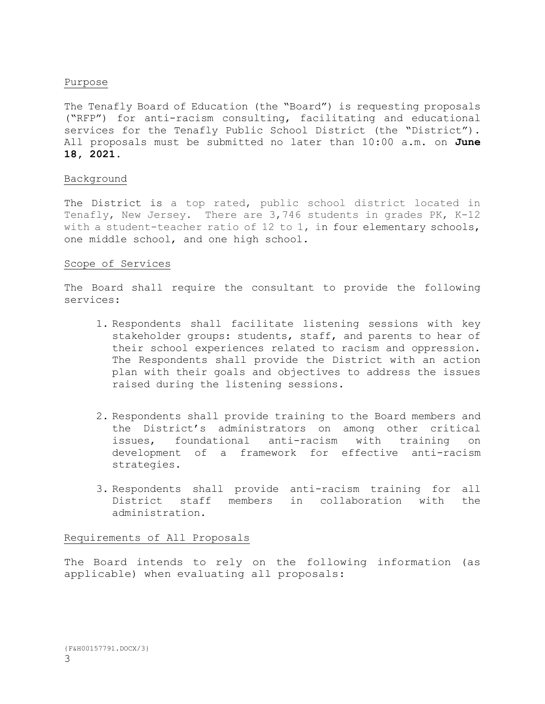### Purpose

The Tenafly Board of Education (the "Board") is requesting proposals ("RFP") for anti-racism consulting, facilitating and educational services for the Tenafly Public School District (the "District"). All proposals must be submitted no later than 10:00 a.m. on **June 18, 2021.**

### Background

The District is a top rated, public school district located in Tenafly, New Jersey. There are 3,746 students in grades PK, K-12 with a student-teacher ratio of 12 to 1, in four elementary schools, one middle school, and one high school.

### Scope of Services

The Board shall require the consultant to provide the following services:

- 1. Respondents shall facilitate listening sessions with key stakeholder groups: students, staff, and parents to hear of their school experiences related to racism and oppression. The Respondents shall provide the District with an action plan with their goals and objectives to address the issues raised during the listening sessions.
- 2. Respondents shall provide training to the Board members and the District's administrators on among other critical issues, foundational anti-racism with training on development of a framework for effective anti-racism strategies.
- 3. Respondents shall provide anti-racism training for all District staff members in collaboration with the administration.

### Requirements of All Proposals

The Board intends to rely on the following information (as applicable) when evaluating all proposals: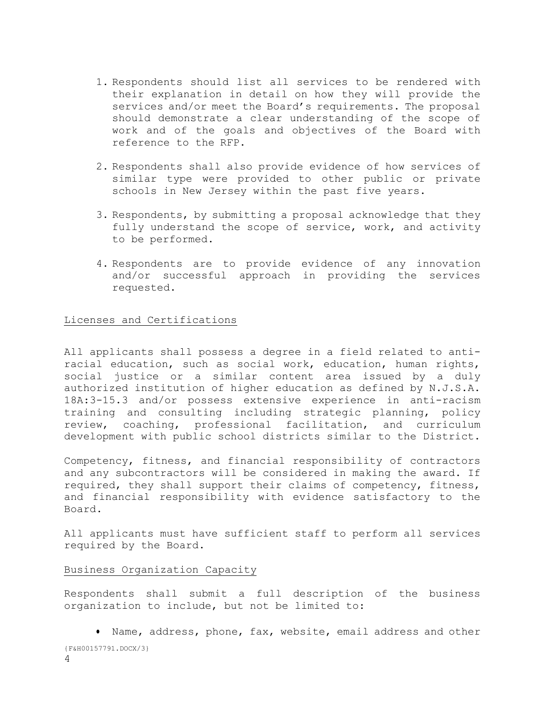- 1. Respondents should list all services to be rendered with their explanation in detail on how they will provide the services and/or meet the Board's requirements. The proposal should demonstrate a clear understanding of the scope of work and of the goals and objectives of the Board with reference to the RFP.
- 2. Respondents shall also provide evidence of how services of similar type were provided to other public or private schools in New Jersey within the past five years.
- 3. Respondents, by submitting a proposal acknowledge that they fully understand the scope of service, work, and activity to be performed.
- 4. Respondents are to provide evidence of any innovation and/or successful approach in providing the services requested.

### Licenses and Certifications

All applicants shall possess a degree in a field related to antiracial education, such as social work, education, human rights, social justice or a similar content area issued by a duly authorized institution of higher education as defined by N.J.S.A. 18A:3-15.3 and/or possess extensive experience in anti-racism training and consulting including strategic planning, policy review, coaching, professional facilitation, and curriculum development with public school districts similar to the District.

Competency, fitness, and financial responsibility of contractors and any subcontractors will be considered in making the award. If required, they shall support their claims of competency, fitness, and financial responsibility with evidence satisfactory to the Board.

All applicants must have sufficient staff to perform all services required by the Board.

### Business Organization Capacity

4

Respondents shall submit a full description of the business organization to include, but not be limited to:

{F&H00157791.DOCX/3} Name, address, phone, fax, website, email address and other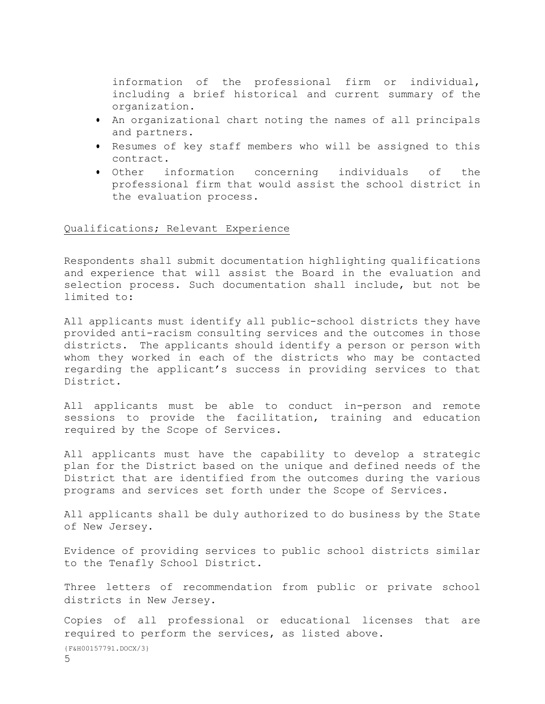information of the professional firm or individual, including a brief historical and current summary of the organization.

- An organizational chart noting the names of all principals and partners.
- Resumes of key staff members who will be assigned to this contract.
- Other information concerning individuals of the professional firm that would assist the school district in the evaluation process.

### Qualifications; Relevant Experience

Respondents shall submit documentation highlighting qualifications and experience that will assist the Board in the evaluation and selection process. Such documentation shall include, but not be limited to:

All applicants must identify all public-school districts they have provided anti-racism consulting services and the outcomes in those districts. The applicants should identify a person or person with whom they worked in each of the districts who may be contacted regarding the applicant's success in providing services to that District.

All applicants must be able to conduct in-person and remote sessions to provide the facilitation, training and education required by the Scope of Services.

All applicants must have the capability to develop a strategic plan for the District based on the unique and defined needs of the District that are identified from the outcomes during the various programs and services set forth under the Scope of Services.

All applicants shall be duly authorized to do business by the State of New Jersey.

Evidence of providing services to public school districts similar to the Tenafly School District.

Three letters of recommendation from public or private school districts in New Jersey.

{F&H00157791.DOCX/3} Copies of all professional or educational licenses that are required to perform the services, as listed above.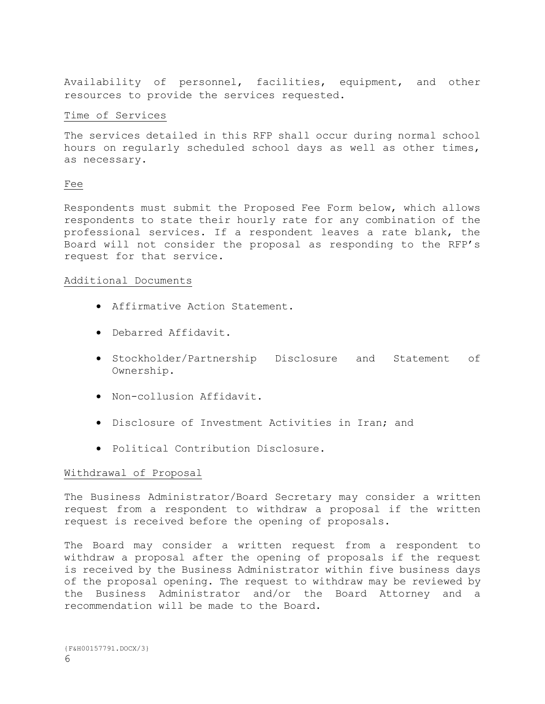Availability of personnel, facilities, equipment, and other resources to provide the services requested.

### Time of Services

The services detailed in this RFP shall occur during normal school hours on regularly scheduled school days as well as other times, as necessary.

### Fee

Respondents must submit the Proposed Fee Form below, which allows respondents to state their hourly rate for any combination of the professional services. If a respondent leaves a rate blank, the Board will not consider the proposal as responding to the RFP's request for that service.

### Additional Documents

- Affirmative Action Statement.
- Debarred Affidavit.
- **•** Stockholder/Partnership Disclosure and Statement of Ownership.
- Non-collusion Affidavit.
- Disclosure of Investment Activities in Iran; and
- Political Contribution Disclosure.

### Withdrawal of Proposal

The Business Administrator/Board Secretary may consider a written request from a respondent to withdraw a proposal if the written request is received before the opening of proposals.

The Board may consider a written request from a respondent to withdraw a proposal after the opening of proposals if the request is received by the Business Administrator within five business days of the proposal opening. The request to withdraw may be reviewed by the Business Administrator and/or the Board Attorney and a recommendation will be made to the Board.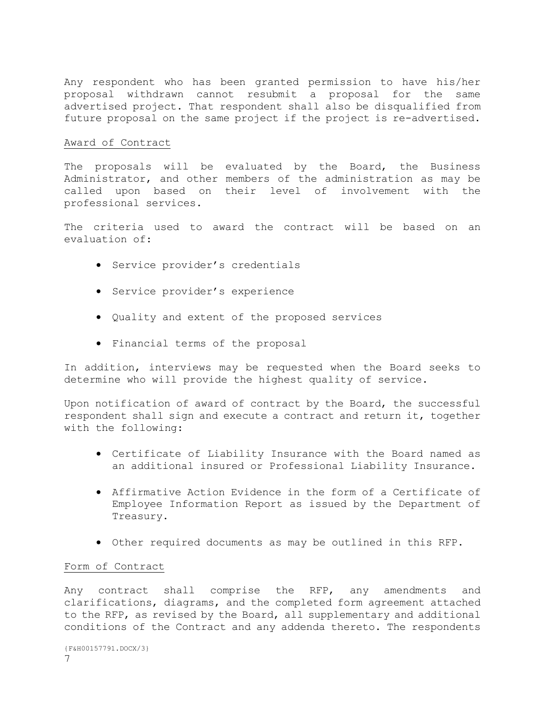Any respondent who has been granted permission to have his/her proposal withdrawn cannot resubmit a proposal for the same advertised project. That respondent shall also be disqualified from future proposal on the same project if the project is re-advertised.

### Award of Contract

The proposals will be evaluated by the Board, the Business Administrator, and other members of the administration as may be called upon based on their level of involvement with the professional services.

The criteria used to award the contract will be based on an evaluation of:

- Service provider's credentials
- Service provider's experience
- Quality and extent of the proposed services
- Financial terms of the proposal

In addition, interviews may be requested when the Board seeks to determine who will provide the highest quality of service.

Upon notification of award of contract by the Board, the successful respondent shall sign and execute a contract and return it, together with the following:

- Certificate of Liability Insurance with the Board named as an additional insured or Professional Liability Insurance.
- Affirmative Action Evidence in the form of a Certificate of Employee Information Report as issued by the Department of Treasury.
- Other required documents as may be outlined in this RFP.

### Form of Contract

Any contract shall comprise the RFP, any amendments and clarifications, diagrams, and the completed form agreement attached to the RFP, as revised by the Board, all supplementary and additional conditions of the Contract and any addenda thereto. The respondents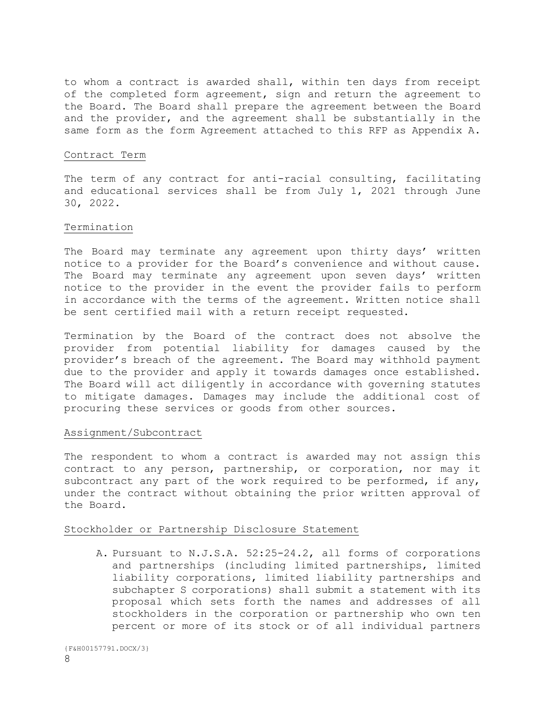to whom a contract is awarded shall, within ten days from receipt of the completed form agreement, sign and return the agreement to the Board. The Board shall prepare the agreement between the Board and the provider, and the agreement shall be substantially in the same form as the form Agreement attached to this RFP as Appendix A.

### Contract Term

The term of any contract for anti-racial consulting, facilitating and educational services shall be from July 1, 2021 through June 30, 2022.

#### Termination

The Board may terminate any agreement upon thirty days' written notice to a provider for the Board's convenience and without cause. The Board may terminate any agreement upon seven days' written notice to the provider in the event the provider fails to perform in accordance with the terms of the agreement. Written notice shall be sent certified mail with a return receipt requested.

Termination by the Board of the contract does not absolve the provider from potential liability for damages caused by the provider's breach of the agreement. The Board may withhold payment due to the provider and apply it towards damages once established. The Board will act diligently in accordance with governing statutes to mitigate damages. Damages may include the additional cost of procuring these services or goods from other sources.

#### Assignment/Subcontract

The respondent to whom a contract is awarded may not assign this contract to any person, partnership, or corporation, nor may it subcontract any part of the work required to be performed, if any, under the contract without obtaining the prior written approval of the Board.

#### Stockholder or Partnership Disclosure Statement

A. Pursuant to N.J.S.A. 52:25-24.2, all forms of corporations and partnerships (including limited partnerships, limited liability corporations, limited liability partnerships and subchapter S corporations) shall submit a statement with its proposal which sets forth the names and addresses of all stockholders in the corporation or partnership who own ten percent or more of its stock or of all individual partners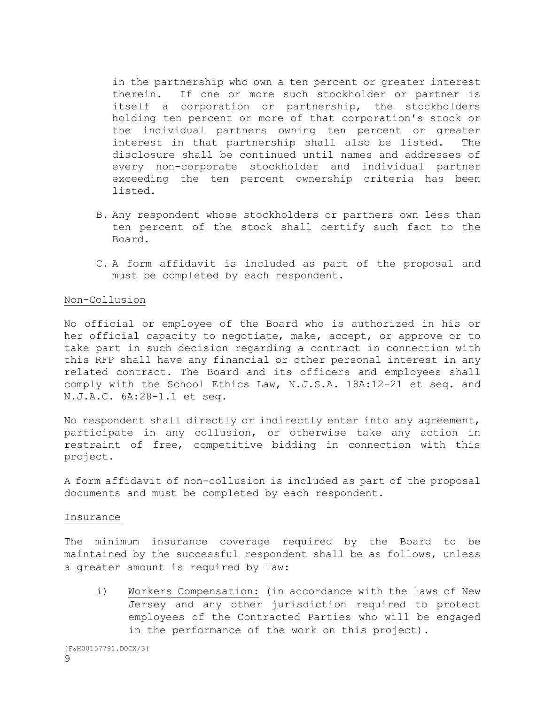in the partnership who own a ten percent or greater interest therein. If one or more such stockholder or partner is itself a corporation or partnership, the stockholders holding ten percent or more of that corporation's stock or the individual partners owning ten percent or greater interest in that partnership shall also be listed. The disclosure shall be continued until names and addresses of every non-corporate stockholder and individual partner exceeding the ten percent ownership criteria has been listed.

- B. Any respondent whose stockholders or partners own less than ten percent of the stock shall certify such fact to the Board.
- C. A form affidavit is included as part of the proposal and must be completed by each respondent.

### Non-Collusion

No official or employee of the Board who is authorized in his or her official capacity to negotiate, make, accept, or approve or to take part in such decision regarding a contract in connection with this RFP shall have any financial or other personal interest in any related contract. The Board and its officers and employees shall comply with the School Ethics Law, N.J.S.A. 18A:12-21 et seq. and N.J.A.C. 6A:28-1.1 et seq.

No respondent shall directly or indirectly enter into any agreement, participate in any collusion, or otherwise take any action in restraint of free, competitive bidding in connection with this project.

A form affidavit of non-collusion is included as part of the proposal documents and must be completed by each respondent.

#### Insurance

The minimum insurance coverage required by the Board to be maintained by the successful respondent shall be as follows, unless a greater amount is required by law:

i) Workers Compensation: (in accordance with the laws of New Jersey and any other jurisdiction required to protect employees of the Contracted Parties who will be engaged in the performance of the work on this project).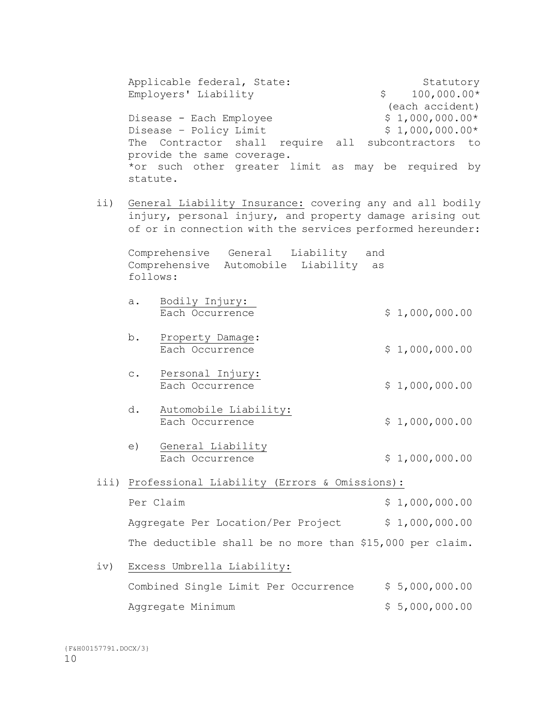Applicable federal, State: Statutory Employers' Liability  $$ 100,000.00*$ (each accident) Disease - Each Employee  $$ 1,000,000.00*$ Disease – Policy Limit  $$ 1,000,000.00*$ The Contractor shall require all subcontractors to provide the same coverage. \*or such other greater limit as may be required by statute.

ii) General Liability Insurance: covering any and all bodily injury, personal injury, and property damage arising out of or in connection with the services performed hereunder:

Comprehensive General Liability and Comprehensive Automobile Liability as follows:

- a. Bodily Injury: Each Occurrence  $$ 1,000,000.00$
- b. Property Damage: Each Occurrence  $$ 1,000,000.00$
- c. Personal Injury: Each Occurrence  $\qquad \qquad$  \$ 1,000,000.00
- d. Automobile Liability: Each Occurrence  $\qquad \qquad$  \$ 1,000,000.00
- e) General Liability Each Occurrence  $\qquad \qquad$  \$ 1,000,000.00
- iii) Professional Liability (Errors & Omissions): Per Claim  $$ 1,000,000.00$ Aggregate Per Location/Per Project \$ 1,000,000.00 The deductible shall be no more than \$15,000 per claim.
- iv) Excess Umbrella Liability: Combined Single Limit Per Occurrence \$ 5,000,000.00 Aggregate Minimum  $$ 5,000,000.00$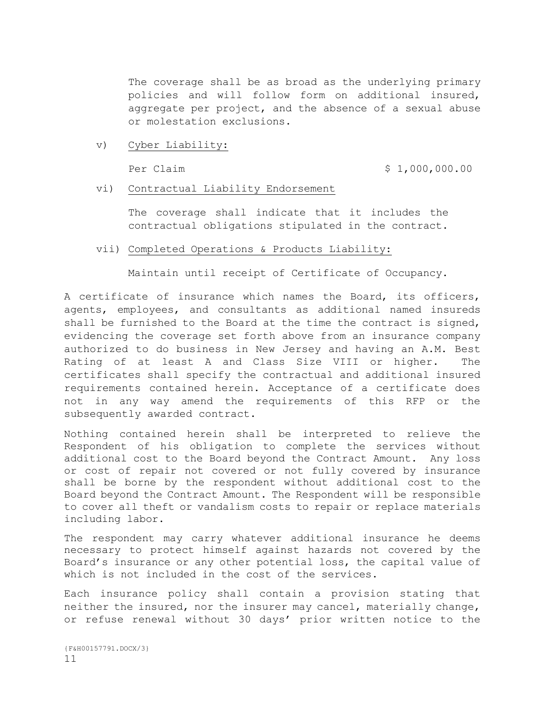The coverage shall be as broad as the underlying primary policies and will follow form on additional insured, aggregate per project, and the absence of a sexual abuse or molestation exclusions.

v) Cyber Liability:

Per Claim  $\frac{1}{2}$  1,000,000.00

vi) Contractual Liability Endorsement

The coverage shall indicate that it includes the contractual obligations stipulated in the contract.

vii) Completed Operations & Products Liability:

Maintain until receipt of Certificate of Occupancy.

A certificate of insurance which names the Board, its officers, agents, employees, and consultants as additional named insureds shall be furnished to the Board at the time the contract is signed, evidencing the coverage set forth above from an insurance company authorized to do business in New Jersey and having an A.M. Best Rating of at least A and Class Size VIII or higher. The certificates shall specify the contractual and additional insured requirements contained herein. Acceptance of a certificate does not in any way amend the requirements of this RFP or the subsequently awarded contract.

Nothing contained herein shall be interpreted to relieve the Respondent of his obligation to complete the services without additional cost to the Board beyond the Contract Amount. Any loss or cost of repair not covered or not fully covered by insurance shall be borne by the respondent without additional cost to the Board beyond the Contract Amount. The Respondent will be responsible to cover all theft or vandalism costs to repair or replace materials including labor.

The respondent may carry whatever additional insurance he deems necessary to protect himself against hazards not covered by the Board's insurance or any other potential loss, the capital value of which is not included in the cost of the services.

Each insurance policy shall contain a provision stating that neither the insured, nor the insurer may cancel, materially change, or refuse renewal without 30 days' prior written notice to the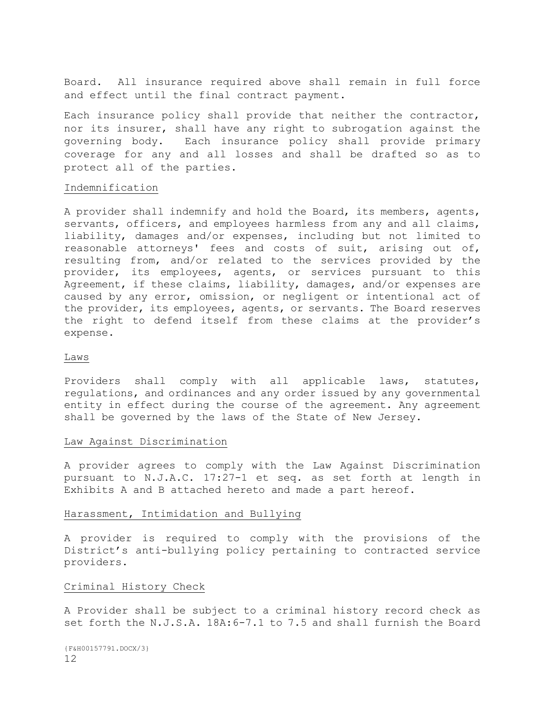Board. All insurance required above shall remain in full force and effect until the final contract payment.

Each insurance policy shall provide that neither the contractor, nor its insurer, shall have any right to subrogation against the governing body. Each insurance policy shall provide primary coverage for any and all losses and shall be drafted so as to protect all of the parties.

### Indemnification

A provider shall indemnify and hold the Board, its members, agents, servants, officers, and employees harmless from any and all claims, liability, damages and/or expenses, including but not limited to reasonable attorneys' fees and costs of suit, arising out of, resulting from, and/or related to the services provided by the provider, its employees, agents, or services pursuant to this Agreement, if these claims, liability, damages, and/or expenses are caused by any error, omission, or negligent or intentional act of the provider, its employees, agents, or servants. The Board reserves the right to defend itself from these claims at the provider's expense.

#### Laws

Providers shall comply with all applicable laws, statutes, regulations, and ordinances and any order issued by any governmental entity in effect during the course of the agreement. Any agreement shall be governed by the laws of the State of New Jersey.

### Law Against Discrimination

A provider agrees to comply with the Law Against Discrimination pursuant to N.J.A.C. 17:27-1 et seq. as set forth at length in Exhibits A and B attached hereto and made a part hereof.

### Harassment, Intimidation and Bullying

A provider is required to comply with the provisions of the District's anti-bullying policy pertaining to contracted service providers.

### Criminal History Check

A Provider shall be subject to a criminal history record check as set forth the N.J.S.A. 18A:6-7.1 to 7.5 and shall furnish the Board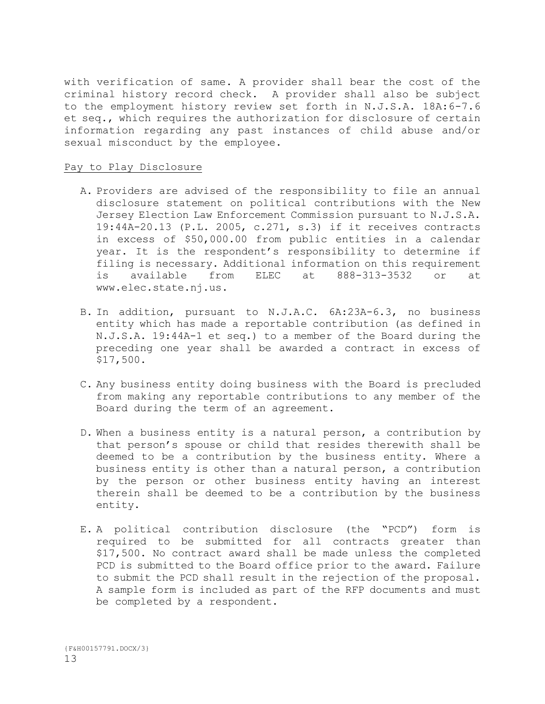with verification of same. A provider shall bear the cost of the criminal history record check. A provider shall also be subject to the employment history review set forth in N.J.S.A. 18A:6-7.6 et seq., which requires the authorization for disclosure of certain information regarding any past instances of child abuse and/or sexual misconduct by the employee.

### Pay to Play Disclosure

- A. Providers are advised of the responsibility to file an annual disclosure statement on political contributions with the New Jersey Election Law Enforcement Commission pursuant to N.J.S.A. 19:44A-20.13 (P.L. 2005, c.271, s.3) if it receives contracts in excess of \$50,000.00 from public entities in a calendar year. It is the respondent's responsibility to determine if filing is necessary. Additional information on this requirement is available from ELEC at 888-313-3532 or at www.elec.state.nj.us.
- B. In addition, pursuant to N.J.A.C. 6A:23A-6.3, no business entity which has made a reportable contribution (as defined in N.J.S.A. 19:44A-1 et seq.) to a member of the Board during the preceding one year shall be awarded a contract in excess of \$17,500.
- C. Any business entity doing business with the Board is precluded from making any reportable contributions to any member of the Board during the term of an agreement.
- D. When a business entity is a natural person, a contribution by that person's spouse or child that resides therewith shall be deemed to be a contribution by the business entity. Where a business entity is other than a natural person, a contribution by the person or other business entity having an interest therein shall be deemed to be a contribution by the business entity.
- E. A political contribution disclosure (the "PCD") form is required to be submitted for all contracts greater than \$17,500. No contract award shall be made unless the completed PCD is submitted to the Board office prior to the award. Failure to submit the PCD shall result in the rejection of the proposal. A sample form is included as part of the RFP documents and must be completed by a respondent.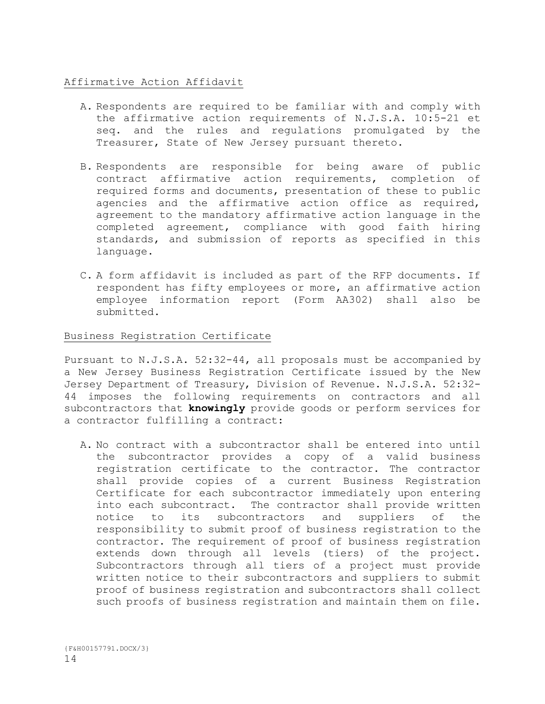### Affirmative Action Affidavit

- A. Respondents are required to be familiar with and comply with the affirmative action requirements of N.J.S.A. 10:5-21 et seq. and the rules and regulations promulgated by the Treasurer, State of New Jersey pursuant thereto.
- B. Respondents are responsible for being aware of public contract affirmative action requirements, completion of required forms and documents, presentation of these to public agencies and the affirmative action office as required, agreement to the mandatory affirmative action language in the completed agreement, compliance with good faith hiring standards, and submission of reports as specified in this language.
- C. A form affidavit is included as part of the RFP documents. If respondent has fifty employees or more, an affirmative action employee information report (Form AA302) shall also be submitted.

### Business Registration Certificate

Pursuant to N.J.S.A. 52:32-44, all proposals must be accompanied by a New Jersey Business Registration Certificate issued by the New Jersey Department of Treasury, Division of Revenue. N.J.S.A. 52:32- 44 imposes the following requirements on contractors and all subcontractors that **knowingly** provide goods or perform services for a contractor fulfilling a contract:

A. No contract with a subcontractor shall be entered into until the subcontractor provides a copy of a valid business registration certificate to the contractor. The contractor shall provide copies of a current Business Registration Certificate for each subcontractor immediately upon entering into each subcontract. The contractor shall provide written notice to its subcontractors and suppliers of the responsibility to submit proof of business registration to the contractor. The requirement of proof of business registration extends down through all levels (tiers) of the project. Subcontractors through all tiers of a project must provide written notice to their subcontractors and suppliers to submit proof of business registration and subcontractors shall collect such proofs of business registration and maintain them on file.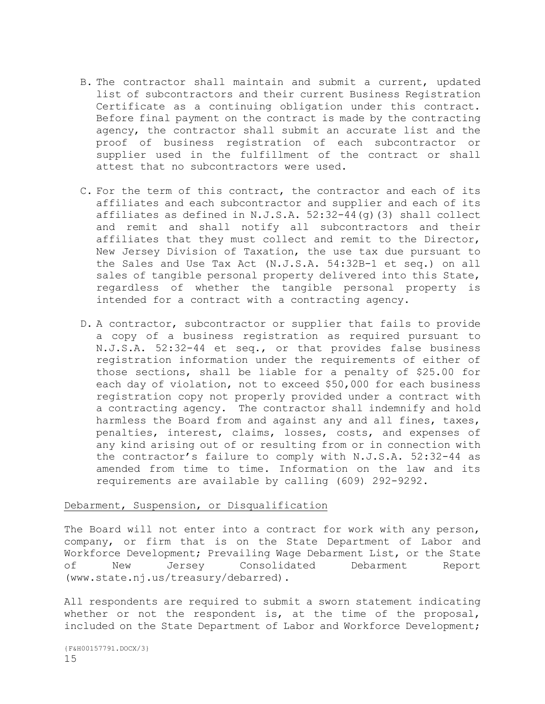- B. The contractor shall maintain and submit a current, updated list of subcontractors and their current Business Registration Certificate as a continuing obligation under this contract. Before final payment on the contract is made by the contracting agency, the contractor shall submit an accurate list and the proof of business registration of each subcontractor or supplier used in the fulfillment of the contract or shall attest that no subcontractors were used.
- C. For the term of this contract, the contractor and each of its affiliates and each subcontractor and supplier and each of its affiliates as defined in N.J.S.A. 52:32-44(g)(3) shall collect and remit and shall notify all subcontractors and their affiliates that they must collect and remit to the Director, New Jersey Division of Taxation, the use tax due pursuant to the Sales and Use Tax Act (N.J.S.A. 54:32B-1 et seq.) on all sales of tangible personal property delivered into this State, regardless of whether the tangible personal property is intended for a contract with a contracting agency.
- D. A contractor, subcontractor or supplier that fails to provide a copy of a business registration as required pursuant to N.J.S.A. 52:32-44 et seq., or that provides false business registration information under the requirements of either of those sections, shall be liable for a penalty of \$25.00 for each day of violation, not to exceed \$50,000 for each business registration copy not properly provided under a contract with a contracting agency. The contractor shall indemnify and hold harmless the Board from and against any and all fines, taxes, penalties, interest, claims, losses, costs, and expenses of any kind arising out of or resulting from or in connection with the contractor's failure to comply with N.J.S.A. 52:32-44 as amended from time to time. Information on the law and its requirements are available by calling (609) 292-9292.

### Debarment, Suspension, or Disqualification

The Board will not enter into a contract for work with any person, company, or firm that is on the State Department of Labor and Workforce Development; Prevailing Wage Debarment List, or the State of New Jersey Consolidated Debarment Report (www.state.nj.us/treasury/debarred).

All respondents are required to submit a sworn statement indicating whether or not the respondent is, at the time of the proposal, included on the State Department of Labor and Workforce Development;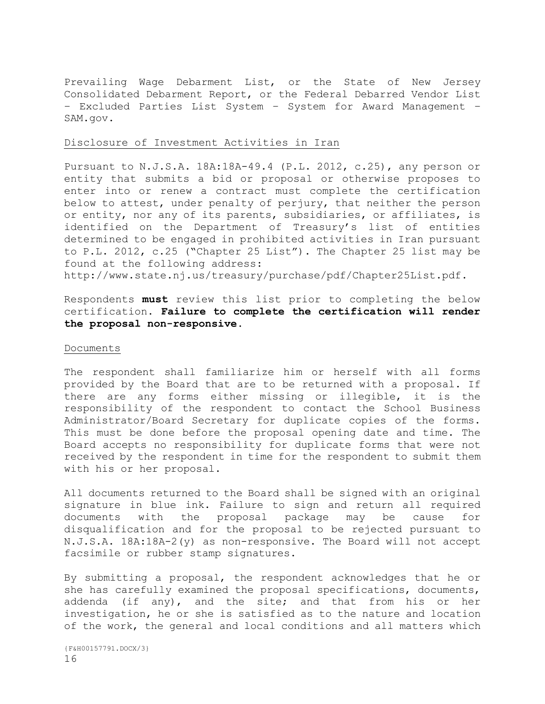Prevailing Wage Debarment List, or the State of New Jersey Consolidated Debarment Report, or the Federal Debarred Vendor List – Excluded Parties List System – System for Award Management – SAM.gov.

### Disclosure of Investment Activities in Iran

Pursuant to N.J.S.A. 18A:18A-49.4 (P.L. 2012, c.25), any person or entity that submits a bid or proposal or otherwise proposes to enter into or renew a contract must complete the certification below to attest, under penalty of perjury, that neither the person or entity, nor any of its parents, subsidiaries, or affiliates, is identified on the Department of Treasury's list of entities determined to be engaged in prohibited activities in Iran pursuant to P.L. 2012, c.25 ("Chapter 25 List"). The Chapter 25 list may be found at the following address:

http://www.state.nj.us/treasury/purchase/pdf/Chapter25List.pdf.

Respondents **must** review this list prior to completing the below certification. **Failure to complete the certification will render the proposal non-responsive.**

#### Documents

The respondent shall familiarize him or herself with all forms provided by the Board that are to be returned with a proposal. If there are any forms either missing or illegible, it is the responsibility of the respondent to contact the School Business Administrator/Board Secretary for duplicate copies of the forms. This must be done before the proposal opening date and time. The Board accepts no responsibility for duplicate forms that were not received by the respondent in time for the respondent to submit them with his or her proposal.

All documents returned to the Board shall be signed with an original signature in blue ink. Failure to sign and return all required documents with the proposal package may be cause for disqualification and for the proposal to be rejected pursuant to N.J.S.A. 18A:18A-2(y) as non-responsive. The Board will not accept facsimile or rubber stamp signatures.

By submitting a proposal, the respondent acknowledges that he or she has carefully examined the proposal specifications, documents, addenda (if any), and the site; and that from his or her investigation, he or she is satisfied as to the nature and location of the work, the general and local conditions and all matters which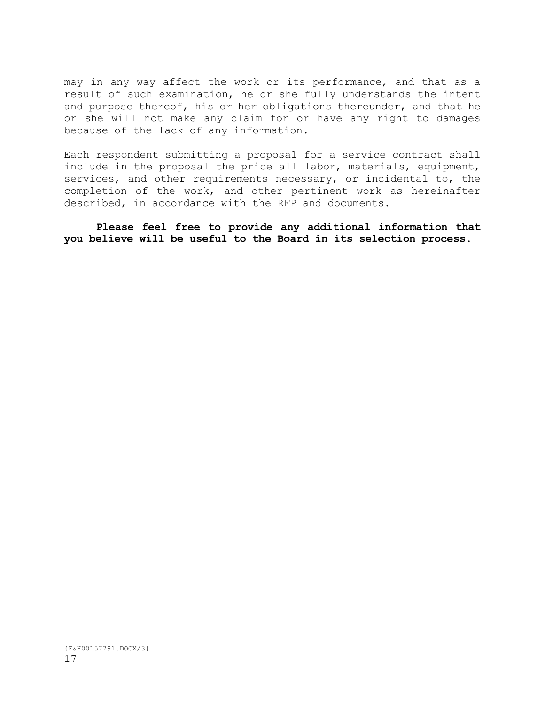may in any way affect the work or its performance, and that as a result of such examination, he or she fully understands the intent and purpose thereof, his or her obligations thereunder, and that he or she will not make any claim for or have any right to damages because of the lack of any information.

Each respondent submitting a proposal for a service contract shall include in the proposal the price all labor, materials, equipment, services, and other requirements necessary, or incidental to, the completion of the work, and other pertinent work as hereinafter described, in accordance with the RFP and documents.

**Please feel free to provide any additional information that you believe will be useful to the Board in its selection process.**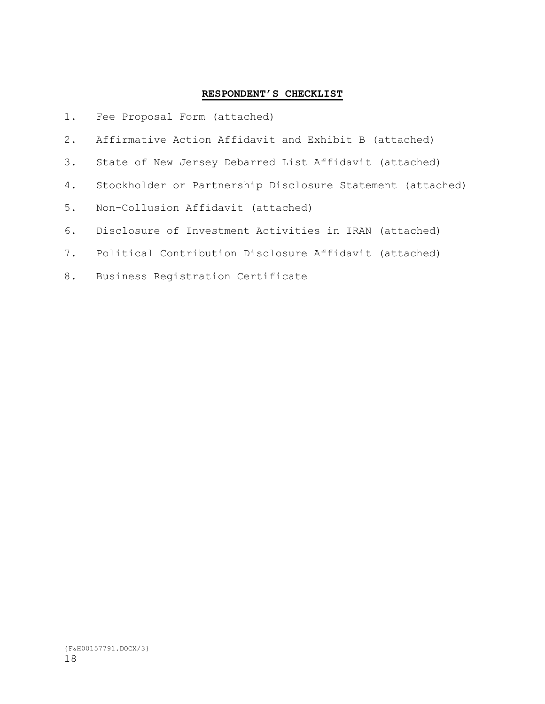### **RESPONDENT'S CHECKLIST**

- 1. Fee Proposal Form (attached)
- 2. Affirmative Action Affidavit and Exhibit B (attached)
- 3. State of New Jersey Debarred List Affidavit (attached)
- 4. Stockholder or Partnership Disclosure Statement (attached)
- 5. Non-Collusion Affidavit (attached)
- 6. Disclosure of Investment Activities in IRAN (attached)
- 7. Political Contribution Disclosure Affidavit (attached)
- 8. Business Registration Certificate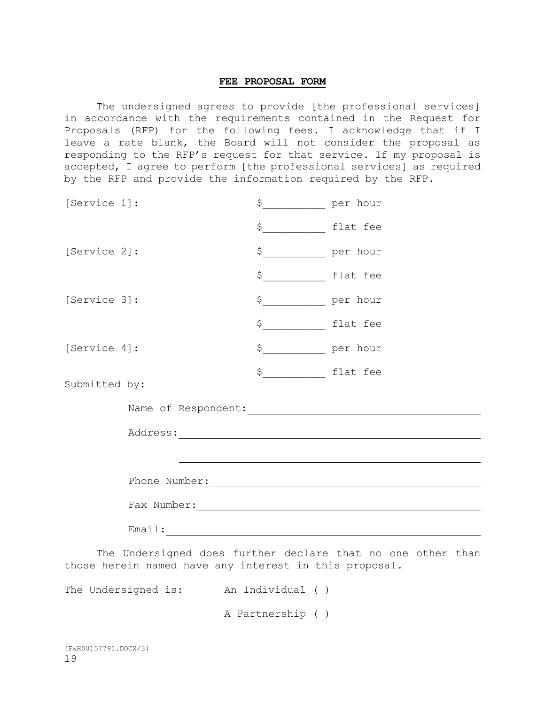### **FEE PROPOSAL FORM**

The undersigned agrees to provide [the professional services] in accordance with the requirements contained in the Request for Proposals (RFP) for the following fees. I acknowledge that if I leave a rate blank, the Board will not consider the proposal as responding to the RFP's request for that service. If my proposal is accepted, I agree to perform [the professional services] as required by the RFP and provide the information required by the RFP.

| [Service 1]:  |                                         | $\uparrow$                | per hour |
|---------------|-----------------------------------------|---------------------------|----------|
|               |                                         | \$ flat fee               |          |
| [Service 2]:  |                                         | \$ per hour               |          |
|               |                                         | \$ flat fee               |          |
| [Service 3]:  |                                         | \$ <u>______</u> per hour |          |
|               |                                         | \$ flat fee               |          |
| [Service 4]:  |                                         | \$ ____________ per hour  |          |
| Submitted by: |                                         | \$ flat fee               |          |
|               | Name of Respondent: Name of Respondent: |                           |          |
|               |                                         |                           |          |
|               |                                         |                           |          |
|               |                                         |                           |          |
|               |                                         |                           |          |
|               |                                         |                           |          |

The Undersigned does further declare that no one other than those herein named have any interest in this proposal.

The Undersigned is: An Individual ( )

A Partnership ( )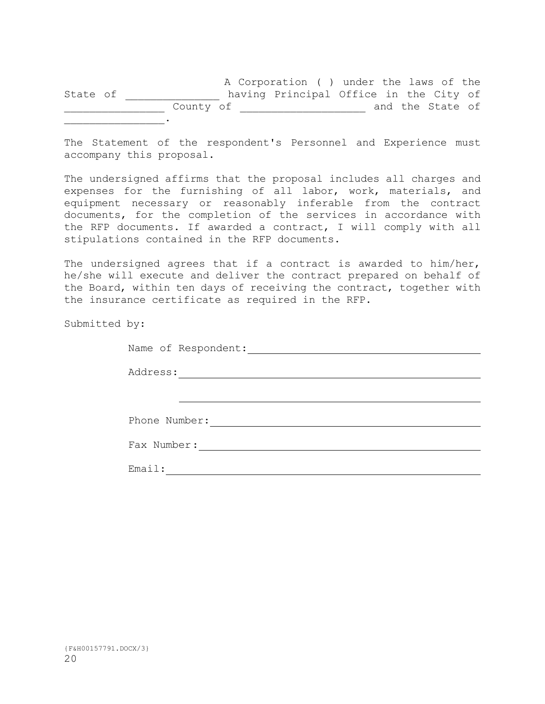A Corporation ( ) under the laws of the State of \_\_\_\_\_\_\_\_\_\_\_\_\_\_\_\_ having Principal Office in the City of \_\_\_\_\_\_\_\_\_\_\_\_\_\_\_\_ County of \_\_\_\_\_\_\_\_\_\_\_\_\_\_\_\_\_\_\_\_ and the State of  $\mathcal{L}=\mathcal{L}$ 

The Statement of the respondent's Personnel and Experience must accompany this proposal.

The undersigned affirms that the proposal includes all charges and expenses for the furnishing of all labor, work, materials, and equipment necessary or reasonably inferable from the contract documents, for the completion of the services in accordance with the RFP documents. If awarded a contract, I will comply with all stipulations contained in the RFP documents.

The undersigned agrees that if a contract is awarded to him/her, he/she will execute and deliver the contract prepared on behalf of the Board, within ten days of receiving the contract, together with the insurance certificate as required in the RFP.

Submitted by:

| Name of Respondent: |  |
|---------------------|--|
| Address:            |  |
|                     |  |
| Phone Number:       |  |
| Fax Number:         |  |
| Email:              |  |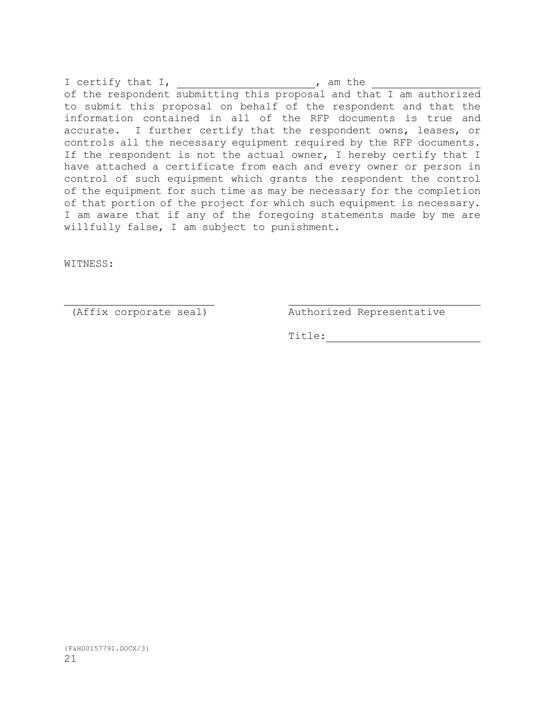I certify that I, The control of the set of  $\overline{I}$  am the of the respondent submitting this proposal and that I am authorized to submit this proposal on behalf of the respondent and that the information contained in all of the RFP documents is true and accurate. I further certify that the respondent owns, leases, or controls all the necessary equipment required by the RFP documents. If the respondent is not the actual owner, I hereby certify that I have attached a certificate from each and every owner or person in control of such equipment which grants the respondent the control of the equipment for such time as may be necessary for the completion of that portion of the project for which such equipment is necessary. I am aware that if any of the foregoing statements made by me are willfully false, I am subject to punishment.

WITNESS:

(Affix corporate seal) Authorized Representative

Title: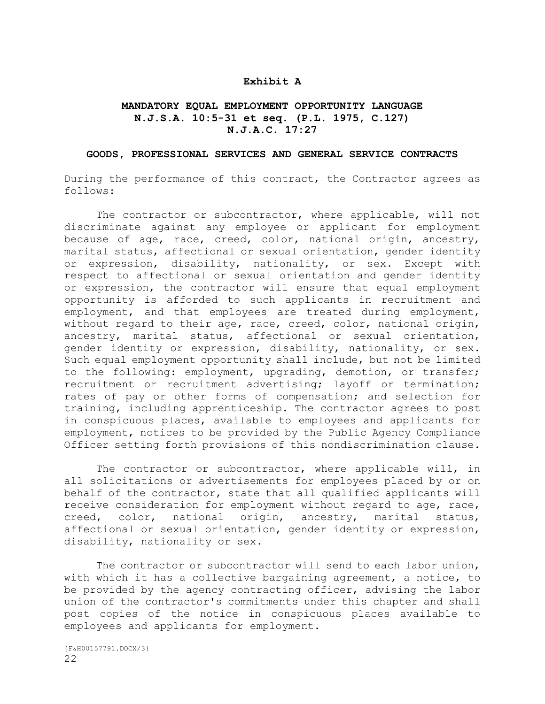### **Exhibit A**

### **MANDATORY EQUAL EMPLOYMENT OPPORTUNITY LANGUAGE N.J.S.A. 10:5-31 et seq. (P.L. 1975, C.127) N.J.A.C. 17:27**

#### **GOODS, PROFESSIONAL SERVICES AND GENERAL SERVICE CONTRACTS**

During the performance of this contract, the Contractor agrees as follows:

The contractor or subcontractor, where applicable, will not discriminate against any employee or applicant for employment because of age, race, creed, color, national origin, ancestry, marital status, affectional or sexual orientation, gender identity or expression, disability, nationality, or sex. Except with respect to affectional or sexual orientation and gender identity or expression, the contractor will ensure that equal employment opportunity is afforded to such applicants in recruitment and employment, and that employees are treated during employment, without regard to their age, race, creed, color, national origin, ancestry, marital status, affectional or sexual orientation, gender identity or expression, disability, nationality, or sex. Such equal employment opportunity shall include, but not be limited to the following: employment, upgrading, demotion, or transfer; recruitment or recruitment advertising; layoff or termination; rates of pay or other forms of compensation; and selection for training, including apprenticeship. The contractor agrees to post in conspicuous places, available to employees and applicants for employment, notices to be provided by the Public Agency Compliance Officer setting forth provisions of this nondiscrimination clause.

The contractor or subcontractor, where applicable will, in all solicitations or advertisements for employees placed by or on behalf of the contractor, state that all qualified applicants will receive consideration for employment without regard to age, race, creed, color, national origin, ancestry, marital status, affectional or sexual orientation, gender identity or expression, disability, nationality or sex.

The contractor or subcontractor will send to each labor union, with which it has a collective bargaining agreement, a notice, to be provided by the agency contracting officer, advising the labor union of the contractor's commitments under this chapter and shall post copies of the notice in conspicuous places available to employees and applicants for employment.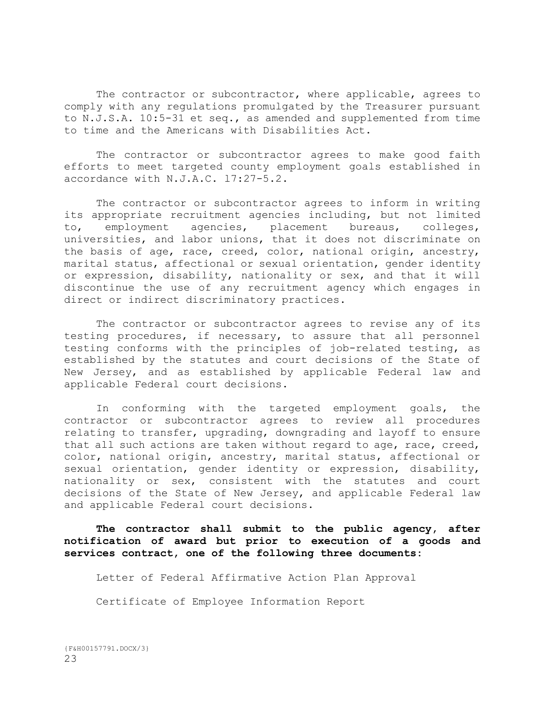The contractor or subcontractor, where applicable, agrees to comply with any regulations promulgated by the Treasurer pursuant to N.J.S.A. 10:5-31 et seq., as amended and supplemented from time to time and the Americans with Disabilities Act.

The contractor or subcontractor agrees to make good faith efforts to meet targeted county employment goals established in accordance with N.J.A.C. l7:27-5.2.

The contractor or subcontractor agrees to inform in writing its appropriate recruitment agencies including, but not limited to, employment agencies, placement bureaus, colleges, universities, and labor unions, that it does not discriminate on the basis of age, race, creed, color, national origin, ancestry, marital status, affectional or sexual orientation, gender identity or expression, disability, nationality or sex, and that it will discontinue the use of any recruitment agency which engages in direct or indirect discriminatory practices.

The contractor or subcontractor agrees to revise any of its testing procedures, if necessary, to assure that all personnel testing conforms with the principles of job-related testing, as established by the statutes and court decisions of the State of New Jersey, and as established by applicable Federal law and applicable Federal court decisions.

In conforming with the targeted employment goals, the contractor or subcontractor agrees to review all procedures relating to transfer, upgrading, downgrading and layoff to ensure that all such actions are taken without regard to age, race, creed, color, national origin, ancestry, marital status, affectional or sexual orientation, gender identity or expression, disability, nationality or sex, consistent with the statutes and court decisions of the State of New Jersey, and applicable Federal law and applicable Federal court decisions.

**The contractor shall submit to the public agency, after notification of award but prior to execution of a goods and services contract, one of the following three documents:**

Letter of Federal Affirmative Action Plan Approval

Certificate of Employee Information Report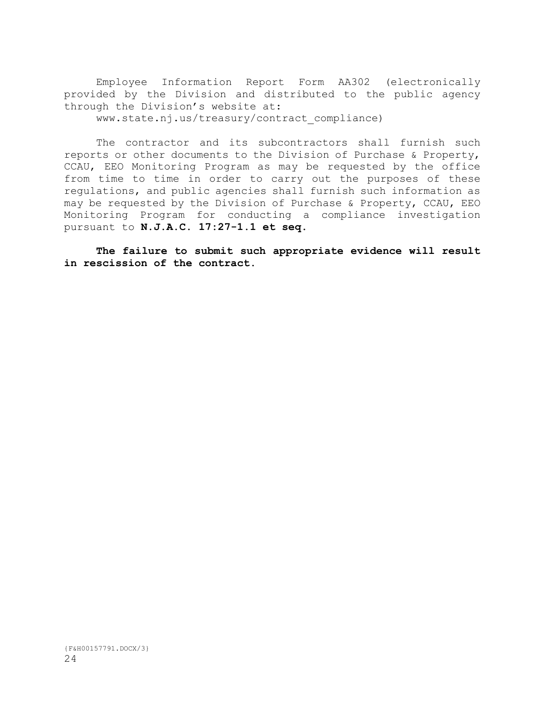Employee Information Report Form AA302 (electronically provided by the Division and distributed to the public agency through the Division's website at: www.state.nj.us/treasury/contract\_compliance)

The contractor and its subcontractors shall furnish such reports or other documents to the Division of Purchase & Property, CCAU, EEO Monitoring Program as may be requested by the office from time to time in order to carry out the purposes of these regulations, and public agencies shall furnish such information as may be requested by the Division of Purchase & Property, CCAU, EEO Monitoring Program for conducting a compliance investigation pursuant to **N.J.A.C. 17:27-1.1 et seq.**

**The failure to submit such appropriate evidence will result in rescission of the contract.**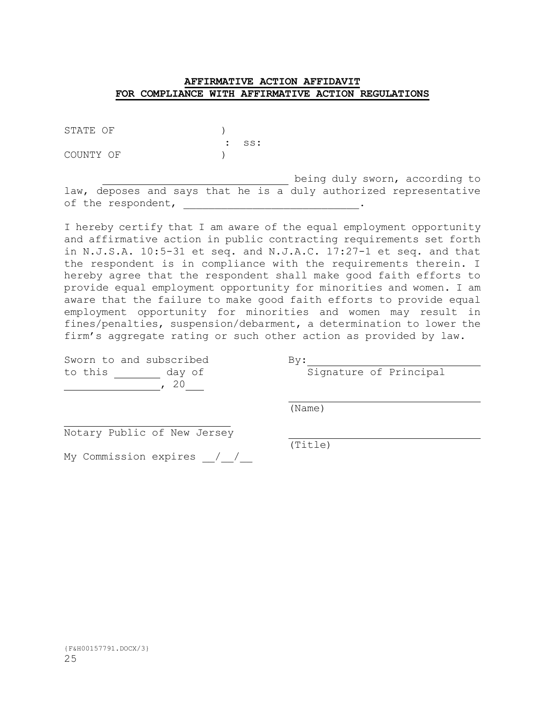### **AFFIRMATIVE ACTION AFFIDAVIT FOR COMPLIANCE WITH AFFIRMATIVE ACTION REGULATIONS**

STATE OF  $)$ 

COUNTY OF  $)$ 

: ss:

being duly sworn, according to law, deposes and says that he is a duly authorized representative of the respondent, \_\_\_\_\_\_\_\_\_\_\_\_\_\_\_\_\_\_\_\_\_\_\_\_\_\_\_\_\_\_\_\_\_.

I hereby certify that I am aware of the equal employment opportunity and affirmative action in public contracting requirements set forth in N.J.S.A. 10:5-31 et seq. and N.J.A.C. 17:27-1 et seq. and that the respondent is in compliance with the requirements therein. I hereby agree that the respondent shall make good faith efforts to provide equal employment opportunity for minorities and women. I am aware that the failure to make good faith efforts to provide equal employment opportunity for minorities and women may result in fines/penalties, suspension/debarment, a determination to lower the firm's aggregate rating or such other action as provided by law.

|         |  | Sworn to and subscribed |  | Bv: |
|---------|--|-------------------------|--|-----|
| to this |  | day of                  |  |     |
|         |  | , 20                    |  |     |

 $\frac{By:}{Signal}$ 

(Name)

Notary Public of New Jersey

My Commission expires / /

(Title)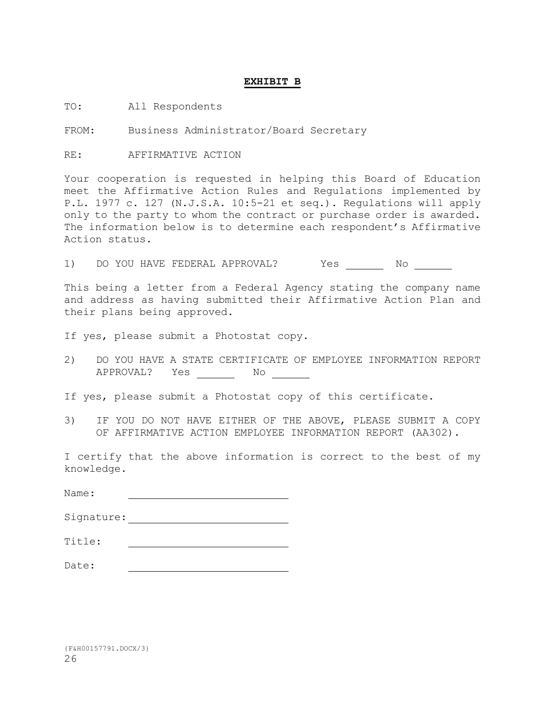### **EXHIBIT B**

TO: All Respondents

FROM: Business Administrator/Board Secretary

RE: AFFIRMATIVE ACTION

Your cooperation is requested in helping this Board of Education meet the Affirmative Action Rules and Regulations implemented by P.L. 1977 c. 127 (N.J.S.A. 10:5-21 et seq.). Regulations will apply only to the party to whom the contract or purchase order is awarded. The information below is to determine each respondent's Affirmative Action status.

1) DO YOU HAVE FEDERAL APPROVAL? Yes No

This being a letter from a Federal Agency stating the company name and address as having submitted their Affirmative Action Plan and their plans being approved.

If yes, please submit a Photostat copy.

- 2) DO YOU HAVE A STATE CERTIFICATE OF EMPLOYEE INFORMATION REPORT APPROVAL? Yes No
- If yes, please submit a Photostat copy of this certificate.
- 3) IF YOU DO NOT HAVE EITHER OF THE ABOVE, PLEASE SUBMIT A COPY OF AFFIRMATIVE ACTION EMPLOYEE INFORMATION REPORT (AA302).

I certify that the above information is correct to the best of my knowledge.

| Name:      |  |
|------------|--|
| Signature: |  |
| Title:     |  |
| Date:      |  |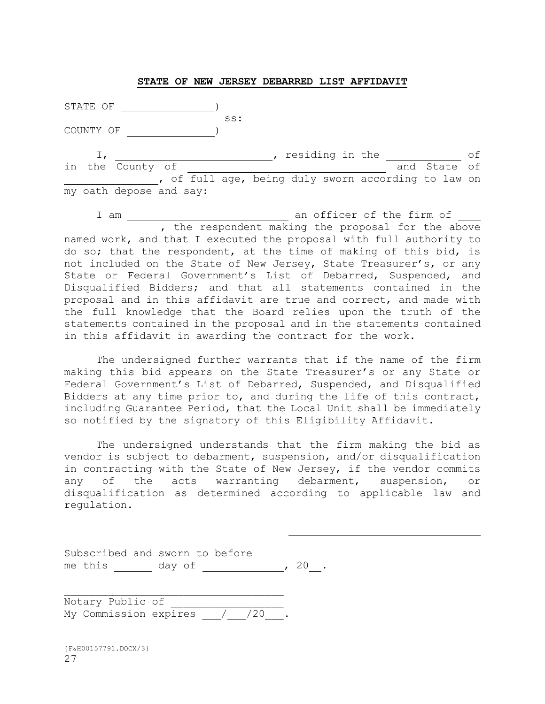#### **STATE OF NEW JERSEY DEBARRED LIST AFFIDAVIT**

STATE OF **)** ss: COUNTY OF  $I$ ,  $\frac{I}{I}$ , residing in the  $\frac{I}{I}$  of in the County of  $\qquad$  and State of , of full age, being duly sworn according to law on my oath depose and say:

I am  $\qquad \qquad \text{and} \qquad$  an officer of the firm of , the respondent making the proposal for the above named work, and that I executed the proposal with full authority to do so; that the respondent, at the time of making of this bid, is not included on the State of New Jersey, State Treasurer's, or any State or Federal Government's List of Debarred, Suspended, and Disqualified Bidders; and that all statements contained in the proposal and in this affidavit are true and correct, and made with the full knowledge that the Board relies upon the truth of the statements contained in the proposal and in the statements contained in this affidavit in awarding the contract for the work.

The undersigned further warrants that if the name of the firm making this bid appears on the State Treasurer's or any State or Federal Government's List of Debarred, Suspended, and Disqualified Bidders at any time prior to, and during the life of this contract, including Guarantee Period, that the Local Unit shall be immediately so notified by the signatory of this Eligibility Affidavit.

The undersigned understands that the firm making the bid as vendor is subject to debarment, suspension, and/or disqualification in contracting with the State of New Jersey, if the vendor commits any of the acts warranting debarment, suspension, or disqualification as determined according to applicable law and regulation.

| Subscribed and sworn to before |        |  |  |  |
|--------------------------------|--------|--|--|--|
| me this                        | day of |  |  |  |

Notary Public of My Commission expires 1/20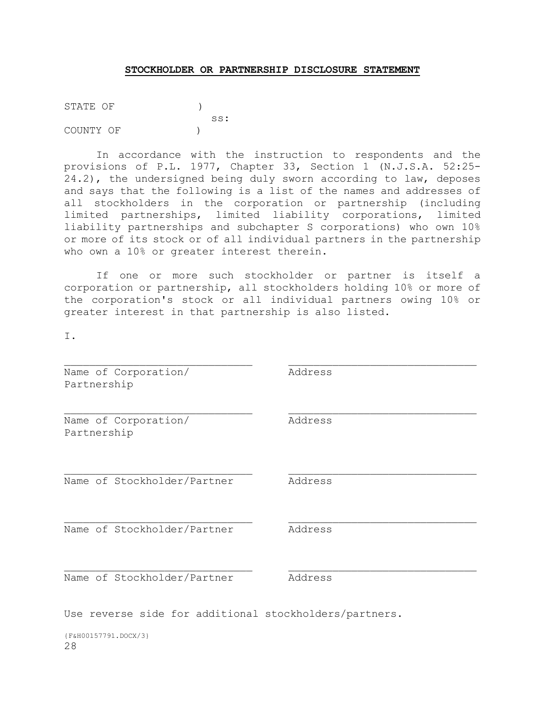### **STOCKHOLDER OR PARTNERSHIP DISCLOSURE STATEMENT**

STATE OF  $)$  ss: COUNTY OF  $)$ 

In accordance with the instruction to respondents and the provisions of P.L. 1977, Chapter 33, Section 1 (N.J.S.A. 52:25- 24.2), the undersigned being duly sworn according to law, deposes and says that the following is a list of the names and addresses of all stockholders in the corporation or partnership (including limited partnerships, limited liability corporations, limited liability partnerships and subchapter S corporations) who own 10% or more of its stock or of all individual partners in the partnership who own a 10% or greater interest therein.

If one or more such stockholder or partner is itself a corporation or partnership, all stockholders holding 10% or more of the corporation's stock or all individual partners owing 10% or greater interest in that partnership is also listed.

I.

| Name of Corporation/<br>Partnership | Address |
|-------------------------------------|---------|
| Name of Corporation/<br>Partnership | Address |
| Name of Stockholder/Partner         | Address |
| Name of Stockholder/Partner         | Address |
| Name of Stockholder/Partner         | Address |
|                                     |         |

Use reverse side for additional stockholders/partners.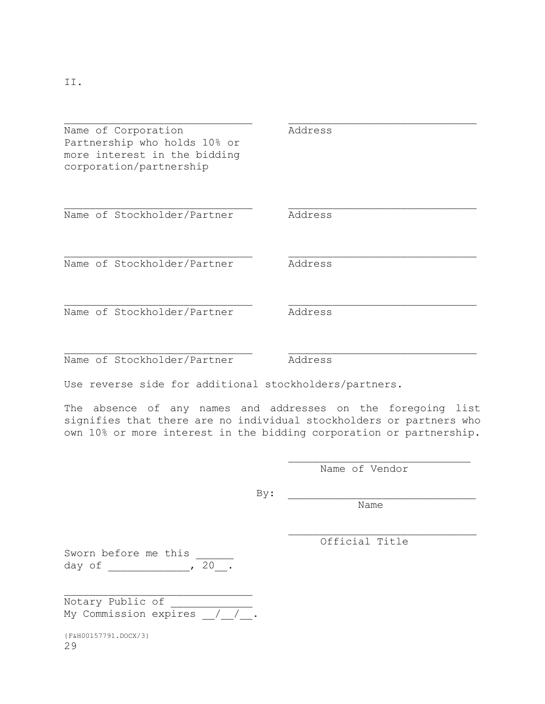II.

Name of Corporation **Address** Partnership who holds 10% or more interest in the bidding corporation/partnership

Name of Stockholder/Partner Address

Name of Stockholder/Partner Address

Name of Stockholder/Partner Address

Name of Stockholder/Partner Address

Use reverse side for additional stockholders/partners.

The absence of any names and addresses on the foregoing list signifies that there are no individual stockholders or partners who own 10% or more interest in the bidding corporation or partnership.

Name of Vendor

 $\text{By:}$ 

Name

Official Title

Sworn before me this day of  $\overline{\qquad \qquad}$ ,  $\overline{\qquad \qquad}$ 

Notary Public of My Commission expires / / .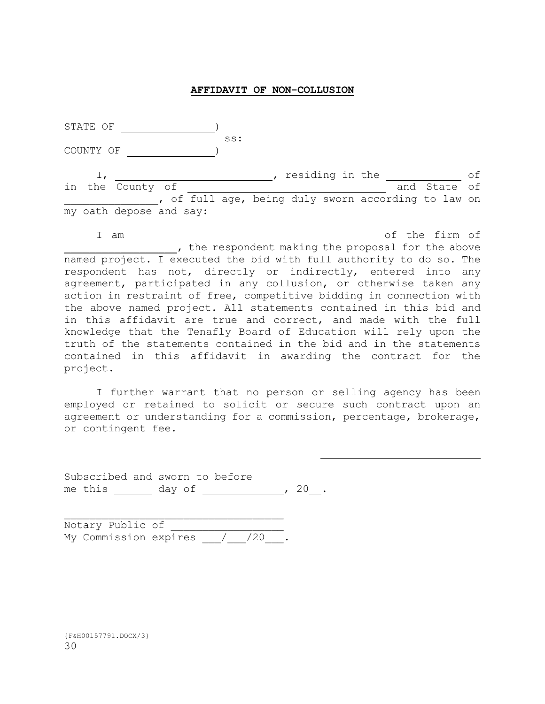### **AFFIDAVIT OF NON-COLLUSION**

| STATE OF  |                         |  |     |  |                 |       |                                                   |    |
|-----------|-------------------------|--|-----|--|-----------------|-------|---------------------------------------------------|----|
| COUNTY OF |                         |  | SS: |  |                 |       |                                                   |    |
|           | in the County of        |  |     |  | residing in the |       | and State of                                      | оf |
|           |                         |  |     |  |                 |       | of full age, being duly sworn according to law on |    |
|           | my oath depose and say: |  |     |  |                 |       |                                                   |    |
|           |                         |  |     |  |                 | - - - | $\sim$ $\blacksquare$                             |    |

I am  $\frac{1}{\sqrt{1-\frac{1}{2}}}\$  of the firm of the respondent making the proposal for the above named project. I executed the bid with full authority to do so. The respondent has not, directly or indirectly, entered into any agreement, participated in any collusion, or otherwise taken any action in restraint of free, competitive bidding in connection with the above named project. All statements contained in this bid and in this affidavit are true and correct, and made with the full knowledge that the Tenafly Board of Education will rely upon the truth of the statements contained in the bid and in the statements contained in this affidavit in awarding the contract for the project.

I further warrant that no person or selling agency has been employed or retained to solicit or secure such contract upon an agreement or understanding for a commission, percentage, brokerage, or contingent fee.

| Subscribed and sworn to before |        |  |  |  |
|--------------------------------|--------|--|--|--|
| me this                        | day of |  |  |  |

Notary Public of My Commission expires / / /20 .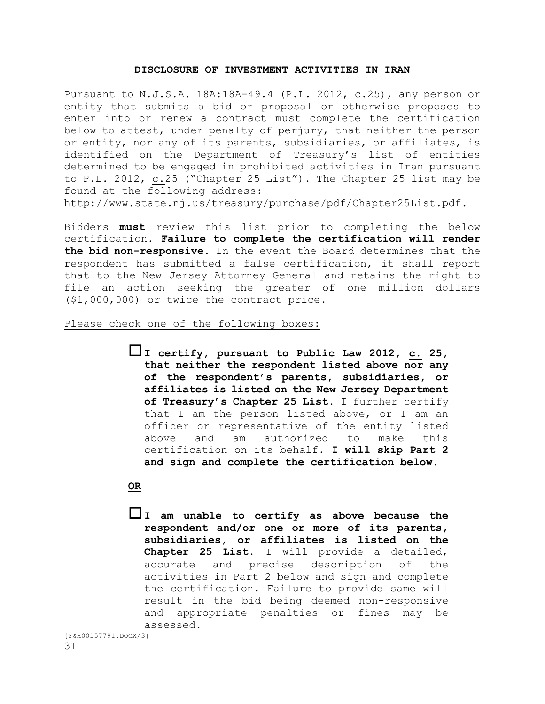#### **DISCLOSURE OF INVESTMENT ACTIVITIES IN IRAN**

Pursuant to N.J.S.A. 18A:18A-49.4 (P.L. 2012, c.25), any person or entity that submits a bid or proposal or otherwise proposes to enter into or renew a contract must complete the certification below to attest, under penalty of perjury, that neither the person or entity, nor any of its parents, subsidiaries, or affiliates, is identified on the Department of Treasury's list of entities determined to be engaged in prohibited activities in Iran pursuant to P.L. 2012, c.25 ("Chapter 25 List"). The Chapter 25 list may be found at the following address:

http://www.state.nj.us/treasury/purchase/pdf/Chapter25List.pdf.

Bidders **must** review this list prior to completing the below certification. **Failure to complete the certification will render the bid non-responsive.** In the event the Board determines that the respondent has submitted a false certification, it shall report that to the New Jersey Attorney General and retains the right to file an action seeking the greater of one million dollars (\$1,000,000) or twice the contract price.

#### Please check one of the following boxes:

**I certify, pursuant to Public Law 2012, c. 25, that neither the respondent listed above nor any of the respondent's parents, subsidiaries, or affiliates is listed on the New Jersey Department of Treasury's Chapter 25 List**. I further certify that I am the person listed above, or I am an officer or representative of the entity listed above and am authorized to make this certification on its behalf. **I will skip Part 2 and sign and complete the certification below.**

### **OR**

**I am unable to certify as above because the respondent and/or one or more of its parents, subsidiaries, or affiliates is listed on the Chapter 25 List.** I will provide a detailed, accurate and precise description of the activities in Part 2 below and sign and complete the certification. Failure to provide same will result in the bid being deemed non-responsive and appropriate penalties or fines may be assessed.

```
{F&H00157791.DOCX/3}
```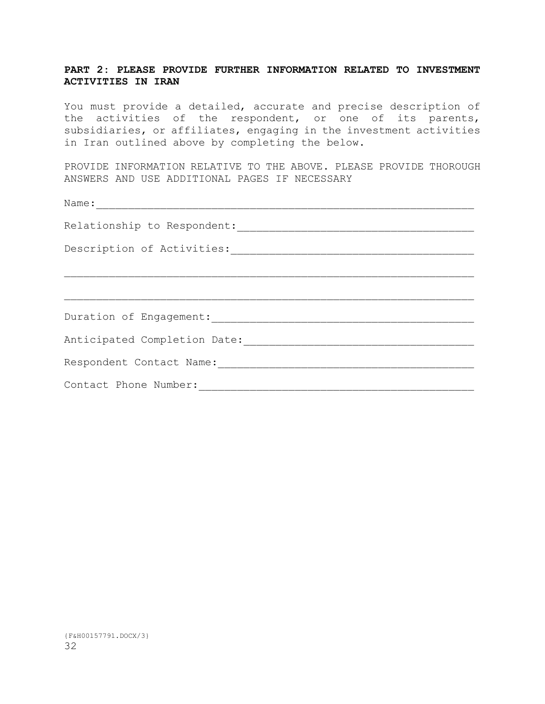### **PART 2: PLEASE PROVIDE FURTHER INFORMATION RELATED TO INVESTMENT ACTIVITIES IN IRAN**

You must provide a detailed, accurate and precise description of the activities of the respondent, or one of its parents, subsidiaries, or affiliates, engaging in the investment activities in Iran outlined above by completing the below.

PROVIDE INFORMATION RELATIVE TO THE ABOVE. PLEASE PROVIDE THOROUGH ANSWERS AND USE ADDITIONAL PAGES IF NECESSARY

| Name:                        |
|------------------------------|
| Relationship to Respondent:  |
| Description of Activities:   |
|                              |
|                              |
| Duration of Engagement:      |
| Anticipated Completion Date: |
| Respondent Contact Name:     |
| Contact Phone Number:        |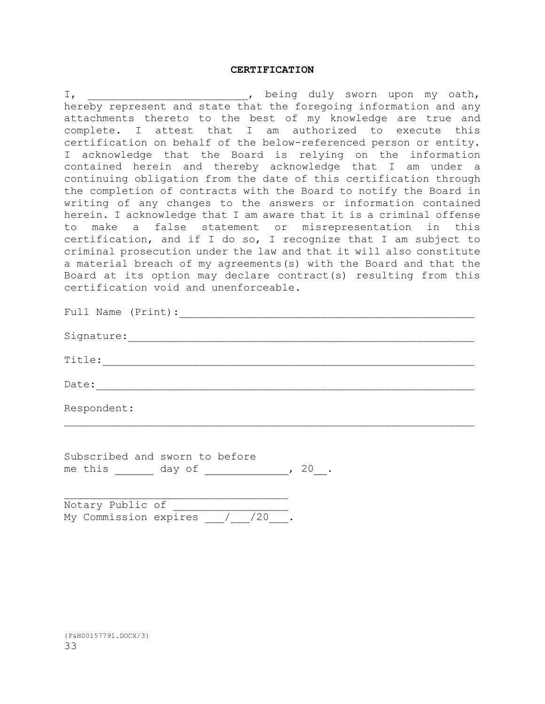#### **CERTIFICATION**

I, the contract of the sworn upon my oath, hereby represent and state that the foregoing information and any attachments thereto to the best of my knowledge are true and complete. I attest that I am authorized to execute this certification on behalf of the below-referenced person or entity. I acknowledge that the Board is relying on the information contained herein and thereby acknowledge that I am under a continuing obligation from the date of this certification through the completion of contracts with the Board to notify the Board in writing of any changes to the answers or information contained herein. I acknowledge that I am aware that it is a criminal offense to make a false statement or misrepresentation in this certification, and if I do so, I recognize that I am subject to criminal prosecution under the law and that it will also constitute a material breach of my agreements(s) with the Board and that the Board at its option may declare contract(s) resulting from this certification void and unenforceable.

| Full Name (Print):               |
|----------------------------------|
| Signature: Management Signature: |
| Title:                           |
| Date:                            |
| Respondent:                      |

Subscribed and sworn to before me this day of , 20.

|  | Notary Public of |                             |  |  |
|--|------------------|-----------------------------|--|--|
|  |                  | My Commission expires / /20 |  |  |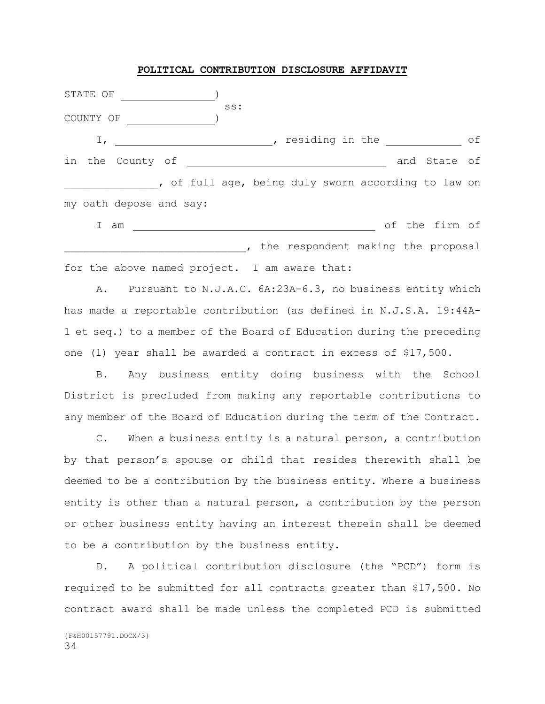#### **POLITICAL CONTRIBUTION DISCLOSURE AFFIDAVIT**

STATE OF ) ss: COUNTY OF  $)$ I, 1. The contract of the contract of  $\overline{I}$  residing in the contract of in the County of **1988** County of 2008 County of 2012 County of 2012 County of 2012 County 2013 County 2013 County of full age, being duly sworn according to law on my oath depose and say: I am  $\overline{\phantom{iiiiiiiiiiiiiiiiiiiiiiiiiiii}}$  of the firm of

, the respondent making the proposal for the above named project. I am aware that:

A. Pursuant to N.J.A.C. 6A:23A-6.3, no business entity which has made a reportable contribution (as defined in N.J.S.A. 19:44A-1 et seq.) to a member of the Board of Education during the preceding one (1) year shall be awarded a contract in excess of \$17,500.

B. Any business entity doing business with the School District is precluded from making any reportable contributions to any member of the Board of Education during the term of the Contract.

C. When a business entity is a natural person, a contribution by that person's spouse or child that resides therewith shall be deemed to be a contribution by the business entity. Where a business entity is other than a natural person, a contribution by the person or other business entity having an interest therein shall be deemed to be a contribution by the business entity.

D. A political contribution disclosure (the "PCD") form is required to be submitted for all contracts greater than \$17,500. No contract award shall be made unless the completed PCD is submitted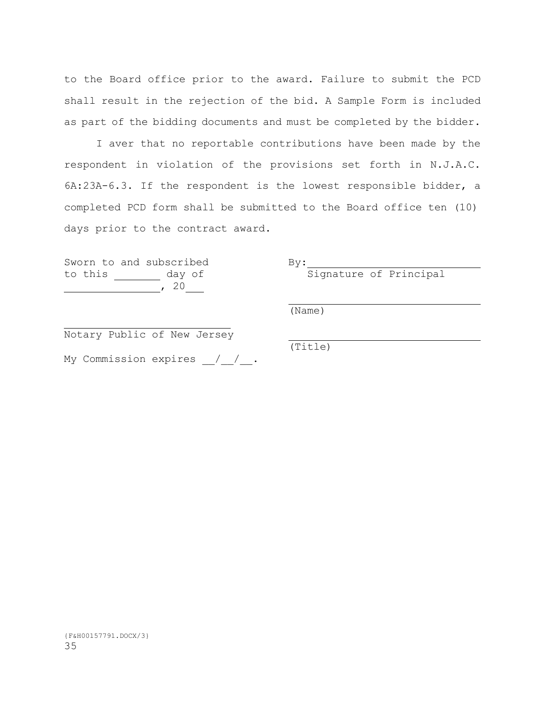to the Board office prior to the award. Failure to submit the PCD shall result in the rejection of the bid. A Sample Form is included as part of the bidding documents and must be completed by the bidder.

I aver that no reportable contributions have been made by the respondent in violation of the provisions set forth in N.J.A.C. 6A:23A-6.3. If the respondent is the lowest responsible bidder, a completed PCD form shall be submitted to the Board office ten (10) days prior to the contract award.

Sworn to and subscribed By: to this  $\frac{day \text{ of}}{20}$ 

to this day of the this day of Principal

(Name)

Notary Public of New Jersey

My Commission expires  $\frac{1}{\sqrt{2}}$ .

(Title)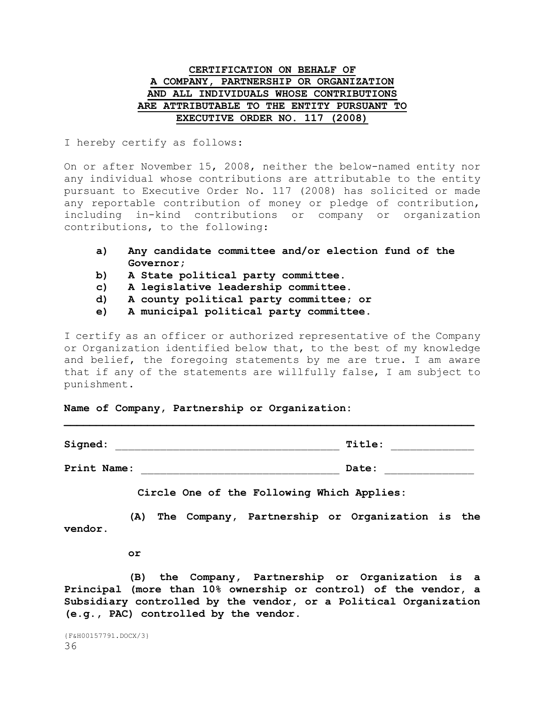### **CERTIFICATION ON BEHALF OF A COMPANY, PARTNERSHIP OR ORGANIZATION AND ALL INDIVIDUALS WHOSE CONTRIBUTIONS ARE ATTRIBUTABLE TO THE ENTITY PURSUANT TO EXECUTIVE ORDER NO. 117 (2008)**

I hereby certify as follows:

On or after November 15, 2008, neither the below-named entity nor any individual whose contributions are attributable to the entity pursuant to Executive Order No. 117 (2008) has solicited or made any reportable contribution of money or pledge of contribution, including in-kind contributions or company or organization contributions, to the following:

- **a) Any candidate committee and/or election fund of the Governor;**
- **b) A State political party committee.**
- **c) A legislative leadership committee.**
- **d) A county political party committee; or**
- **e) A municipal political party committee.**

I certify as an officer or authorized representative of the Company or Organization identified below that, to the best of my knowledge and belief, the foregoing statements by me are true. I am aware that if any of the statements are willfully false, I am subject to punishment.

|  |  |  |  |  | Name of Company, Partnership or Organization: |  |
|--|--|--|--|--|-----------------------------------------------|--|
|--|--|--|--|--|-----------------------------------------------|--|

| Signed:     | Title: |
|-------------|--------|
| Print Name: | Date:  |

**Circle One of the Following Which Applies:**

**(A) The Company, Partnership or Organization is the vendor.**

**or**

**(B) the Company, Partnership or Organization is a Principal (more than 10% ownership or control) of the vendor, a Subsidiary controlled by the vendor, or a Political Organization (e.g., PAC) controlled by the vendor.**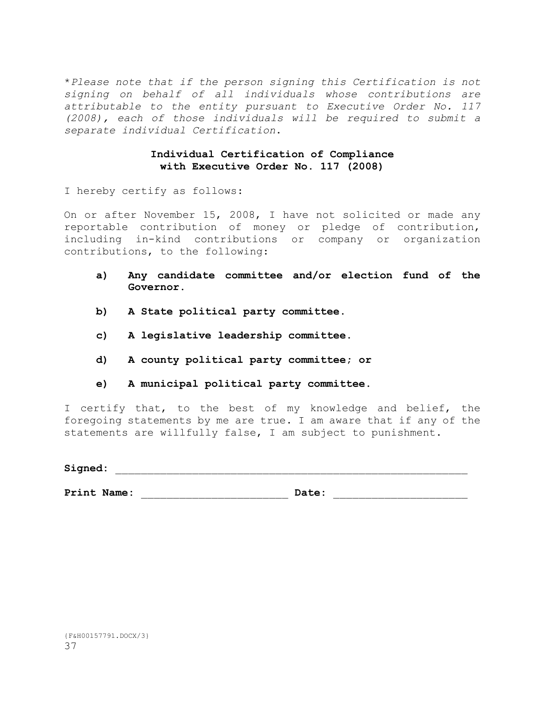\**Please note that if the person signing this Certification is not signing on behalf of all individuals whose contributions are attributable to the entity pursuant to Executive Order No. 117 (2008), each of those individuals will be required to submit a separate individual Certification*.

### **Individual Certification of Compliance with Executive Order No. 117 (2008)**

I hereby certify as follows:

On or after November 15, 2008, I have not solicited or made any reportable contribution of money or pledge of contribution, including in-kind contributions or company or organization contributions, to the following:

- **a) Any candidate committee and/or election fund of the Governor.**
- **b) A State political party committee.**
- **c) A legislative leadership committee.**
- **d) A county political party committee; or**
- **e) A municipal political party committee.**

I certify that, to the best of my knowledge and belief, the foregoing statements by me are true. I am aware that if any of the statements are willfully false, I am subject to punishment.

 $\verb|Sigmaed|:\@ifnextchar[{\@model:}% \label{thm:1}$ 

Print Name: **Date: Date: Date: Date: Date: Date: Print Name: Date: Print 10.12**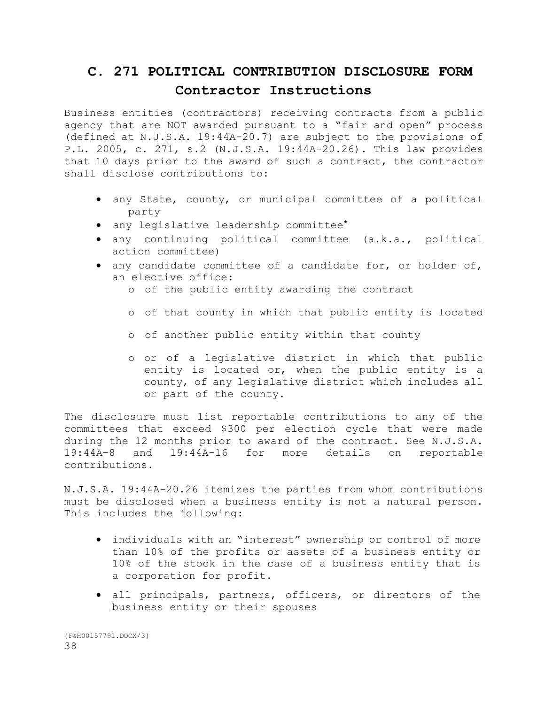# **C. 271 POLITICAL CONTRIBUTION DISCLOSURE FORM Contractor Instructions**

Business entities (contractors) receiving contracts from a public agency that are NOT awarded pursuant to a "fair and open" process (defined at N.J.S.A. 19:44A-20.7) are subject to the provisions of P.L. 2005, c. 271, s.2 (N.J.S.A. 19:44A-20.26). This law provides that 10 days prior to the award of such a contract, the contractor shall disclose contributions to:

- any State, county, or municipal committee of a political party
- any legislative leadership committee**\***
- any continuing political committee (a.k.a., political action committee)
- any candidate committee of a candidate for, or holder of, an elective office:
	- o of the public entity awarding the contract
	- o of that county in which that public entity is located
	- o of another public entity within that county
	- o or of a legislative district in which that public entity is located or, when the public entity is a county, of any legislative district which includes all or part of the county.

The disclosure must list reportable contributions to any of the committees that exceed \$300 per election cycle that were made during the 12 months prior to award of the contract. See N.J.S.A. 19:44A-8 and 19:44A-16 for more details on reportable contributions.

N.J.S.A. 19:44A-20.26 itemizes the parties from whom contributions must be disclosed when a business entity is not a natural person. This includes the following:

- individuals with an "interest" ownership or control of more than 10% of the profits or assets of a business entity or 10% of the stock in the case of a business entity that is a corporation for profit.
- all principals, partners, officers, or directors of the business entity or their spouses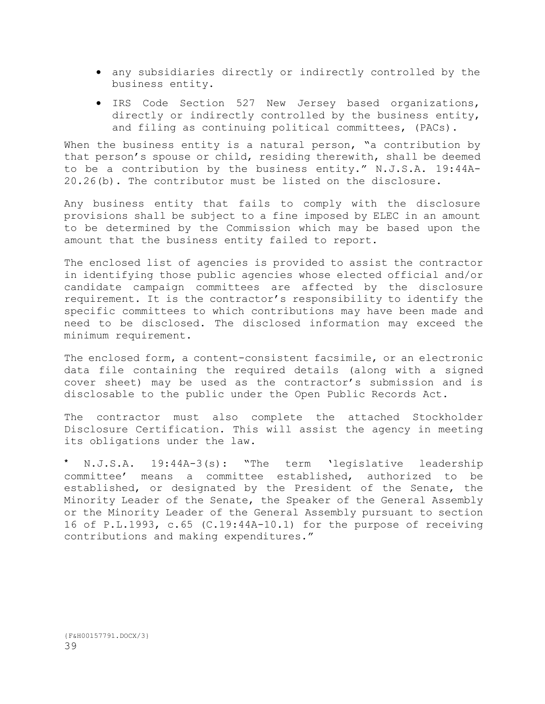- any subsidiaries directly or indirectly controlled by the business entity.
- IRS Code Section 527 New Jersey based organizations, directly or indirectly controlled by the business entity, and filing as continuing political committees, (PACs).

When the business entity is a natural person, "a contribution by that person's spouse or child, residing therewith, shall be deemed to be a contribution by the business entity." N.J.S.A. 19:44A-20.26(b). The contributor must be listed on the disclosure.

Any business entity that fails to comply with the disclosure provisions shall be subject to a fine imposed by ELEC in an amount to be determined by the Commission which may be based upon the amount that the business entity failed to report.

The enclosed list of agencies is provided to assist the contractor in identifying those public agencies whose elected official and/or candidate campaign committees are affected by the disclosure requirement. It is the contractor's responsibility to identify the specific committees to which contributions may have been made and need to be disclosed. The disclosed information may exceed the minimum requirement.

The enclosed form, a content-consistent facsimile, or an electronic data file containing the required details (along with a signed cover sheet) may be used as the contractor's submission and is disclosable to the public under the Open Public Records Act.

The contractor must also complete the attached Stockholder Disclosure Certification. This will assist the agency in meeting its obligations under the law.

**\*** N.J.S.A. 19:44A-3(s): "The term 'legislative leadership committee' means a committee established, authorized to be established, or designated by the President of the Senate, the Minority Leader of the Senate, the Speaker of the General Assembly or the Minority Leader of the General Assembly pursuant to section 16 of P.L.1993, c.65 (C.19:44A-10.1) for the purpose of receiving contributions and making expenditures."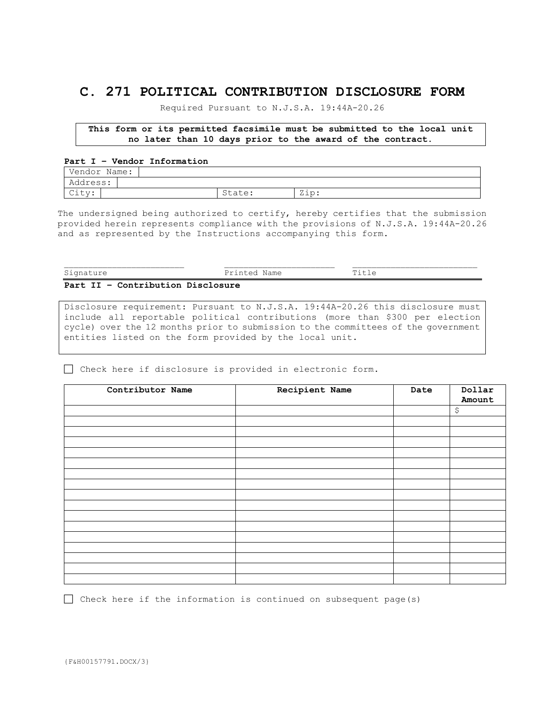## **C. 271 POLITICAL CONTRIBUTION DISCLOSURE FORM**

Required Pursuant to N.J.S.A. 19:44A-20.26

**This form or its permitted facsimile must be submitted to the local unit no later than 10 days prior to the award of the contract.**

### **Part I – Vendor Information**

| Vendor<br>Name:                                            |                      |                |
|------------------------------------------------------------|----------------------|----------------|
| Address:                                                   |                      |                |
| $\sim$ 1.1<br>----<br>$\cup$ $\perp$ $\cup$ $\vee$ $\cdot$ | $+ \frown$<br>state. | 7:2<br>$4 + 1$ |

The undersigned being authorized to certify, hereby certifies that the submission provided herein represents compliance with the provisions of N.J.S.A. 19:44A-20.26 and as represented by the Instructions accompanying this form.

| Signature                                                                               | Printad<br>Name<br>----- | $T+1 \approx$<br>ᅩᅩ노<br>_____ |
|-----------------------------------------------------------------------------------------|--------------------------|-------------------------------|
| Contribution Disclosure<br><b>TT</b><br>$D \circ r +$<br>$\overline{\phantom{0}}$<br>-- |                          |                               |

Disclosure requirement: Pursuant to N.J.S.A. 19:44A-20.26 this disclosure must include all reportable political contributions (more than \$300 per election cycle) over the 12 months prior to submission to the committees of the government entities listed on the form provided by the local unit.

Check here if disclosure is provided in electronic form.

| Contributor Name | Recipient Name | Date | Dollar<br>Amount |
|------------------|----------------|------|------------------|
|                  |                |      | \$               |
|                  |                |      |                  |
|                  |                |      |                  |
|                  |                |      |                  |
|                  |                |      |                  |
|                  |                |      |                  |
|                  |                |      |                  |
|                  |                |      |                  |
|                  |                |      |                  |
|                  |                |      |                  |
|                  |                |      |                  |
|                  |                |      |                  |
|                  |                |      |                  |
|                  |                |      |                  |
|                  |                |      |                  |
|                  |                |      |                  |

 $\Box$  Check here if the information is continued on subsequent page(s)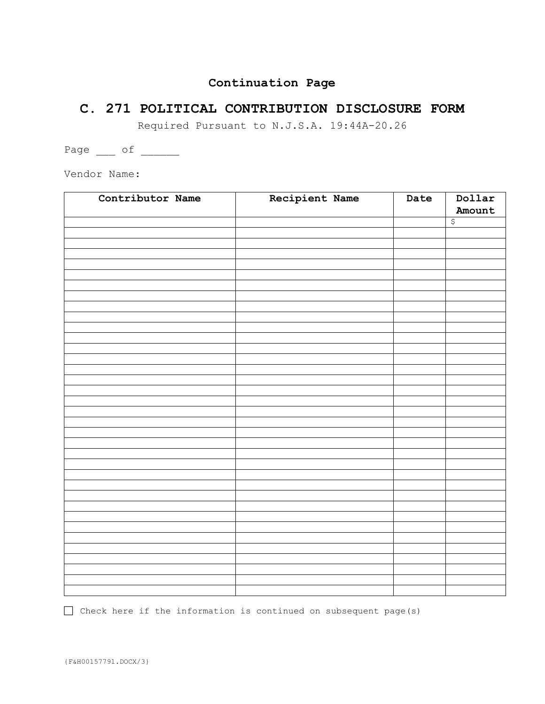## **Continuation Page**

## **C. 271 POLITICAL CONTRIBUTION DISCLOSURE FORM**

Required Pursuant to N.J.S.A. 19:44A-20.26

Page  $\frac{1}{\sqrt{2\pi}}$  of  $\frac{1}{\sqrt{2\pi}}$ 

Vendor Name:

| Recipient Name<br>Amount<br>$\varsigma$ |
|-----------------------------------------|
|                                         |
|                                         |
|                                         |
|                                         |
|                                         |
|                                         |
|                                         |
|                                         |
|                                         |
|                                         |
|                                         |
|                                         |
|                                         |
|                                         |
|                                         |
|                                         |
|                                         |
|                                         |
|                                         |
|                                         |
|                                         |
|                                         |
|                                         |
|                                         |
|                                         |
|                                         |
|                                         |
|                                         |
|                                         |
|                                         |
|                                         |
|                                         |
|                                         |
|                                         |
|                                         |
|                                         |

 $\Box$  Check here if the information is continued on subsequent page(s)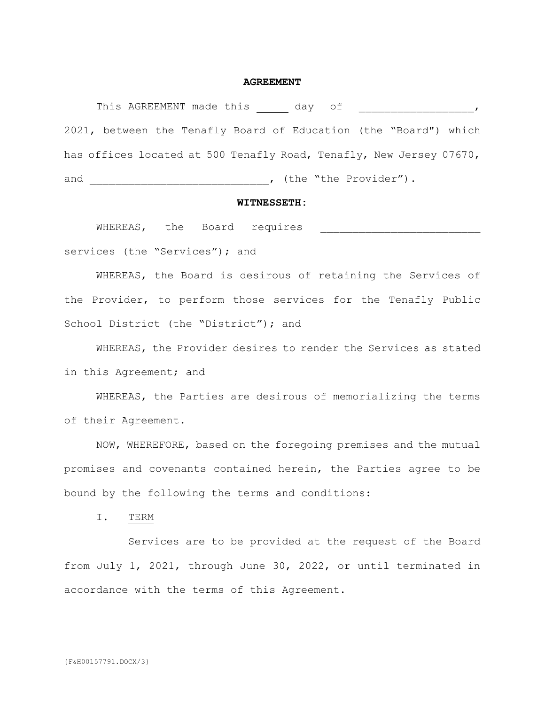#### **AGREEMENT**

This AGREEMENT made this day of  $\qquad \qquad$ , 2021, between the Tenafly Board of Education (the "Board") which has offices located at 500 Tenafly Road, Tenafly, New Jersey 07670, and \_\_\_\_\_\_\_\_\_\_\_\_\_\_\_\_\_\_\_\_\_\_\_\_\_\_\_\_\_\_\_, (the "the Provider").

### **WITNESSETH:**

WHEREAS, the Board requires **\_\_\_\_\_\_\_\_\_\_\_\_\_\_\_\_\_\_\_\_\_\_\_\_** services (the "Services"); and

WHEREAS, the Board is desirous of retaining the Services of the Provider, to perform those services for the Tenafly Public School District (the "District"); and

WHEREAS, the Provider desires to render the Services as stated in this Agreement; and

WHEREAS, the Parties are desirous of memorializing the terms of their Agreement.

NOW, WHEREFORE, based on the foregoing premises and the mutual promises and covenants contained herein, the Parties agree to be bound by the following the terms and conditions:

I. TERM

Services are to be provided at the request of the Board from July 1, 2021, through June 30, 2022, or until terminated in accordance with the terms of this Agreement.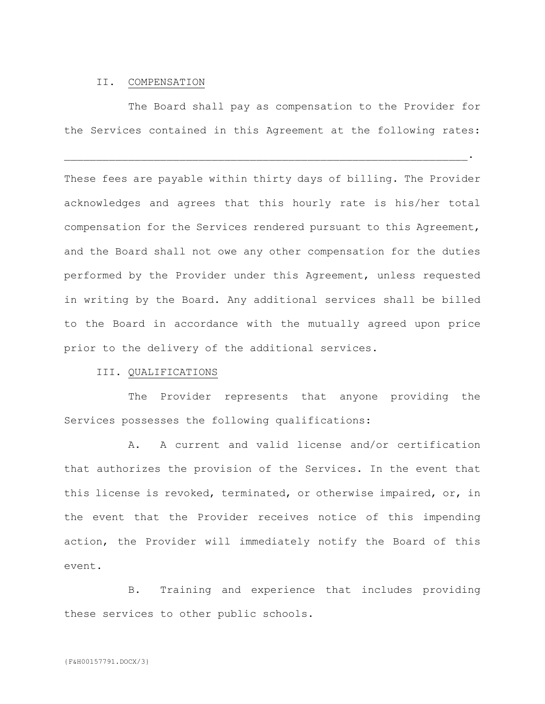#### II. COMPENSATION

The Board shall pay as compensation to the Provider for the Services contained in this Agreement at the following rates:

 $\mathcal{L}_\mathcal{L} = \mathcal{L}_\mathcal{L} = \mathcal{L}_\mathcal{L} = \mathcal{L}_\mathcal{L} = \mathcal{L}_\mathcal{L} = \mathcal{L}_\mathcal{L} = \mathcal{L}_\mathcal{L} = \mathcal{L}_\mathcal{L} = \mathcal{L}_\mathcal{L} = \mathcal{L}_\mathcal{L} = \mathcal{L}_\mathcal{L} = \mathcal{L}_\mathcal{L} = \mathcal{L}_\mathcal{L} = \mathcal{L}_\mathcal{L} = \mathcal{L}_\mathcal{L} = \mathcal{L}_\mathcal{L} = \mathcal{L}_\mathcal{L}$ 

These fees are payable within thirty days of billing. The Provider acknowledges and agrees that this hourly rate is his/her total compensation for the Services rendered pursuant to this Agreement, and the Board shall not owe any other compensation for the duties performed by the Provider under this Agreement, unless requested in writing by the Board. Any additional services shall be billed to the Board in accordance with the mutually agreed upon price prior to the delivery of the additional services.

### III. QUALIFICATIONS

The Provider represents that anyone providing the Services possesses the following qualifications:

A. A current and valid license and/or certification that authorizes the provision of the Services. In the event that this license is revoked, terminated, or otherwise impaired, or, in the event that the Provider receives notice of this impending action, the Provider will immediately notify the Board of this event.

B. Training and experience that includes providing these services to other public schools.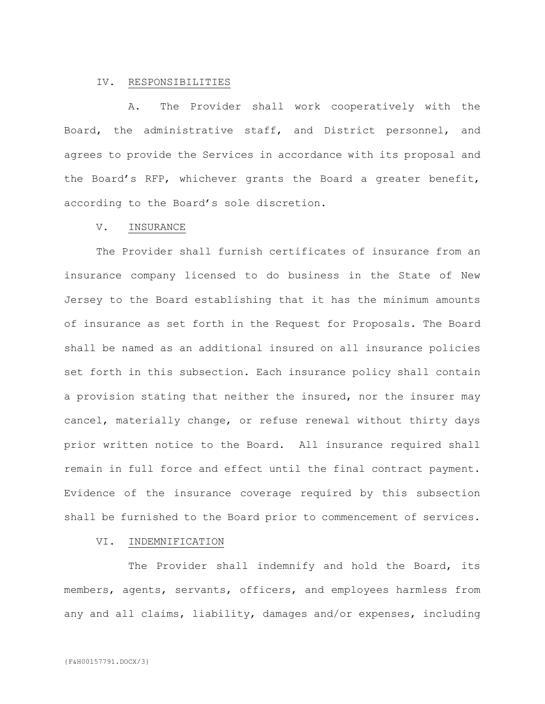### IV. RESPONSIBILITIES

A. The Provider shall work cooperatively with the Board, the administrative staff, and District personnel, and agrees to provide the Services in accordance with its proposal and the Board's RFP, whichever grants the Board a greater benefit, according to the Board's sole discretion.

#### V. INSURANCE

The Provider shall furnish certificates of insurance from an insurance company licensed to do business in the State of New Jersey to the Board establishing that it has the minimum amounts of insurance as set forth in the Request for Proposals. The Board shall be named as an additional insured on all insurance policies set forth in this subsection. Each insurance policy shall contain a provision stating that neither the insured, nor the insurer may cancel, materially change, or refuse renewal without thirty days prior written notice to the Board. All insurance required shall remain in full force and effect until the final contract payment. Evidence of the insurance coverage required by this subsection shall be furnished to the Board prior to commencement of services.

#### VI. INDEMNIFICATION

The Provider shall indemnify and hold the Board, its members, agents, servants, officers, and employees harmless from any and all claims, liability, damages and/or expenses, including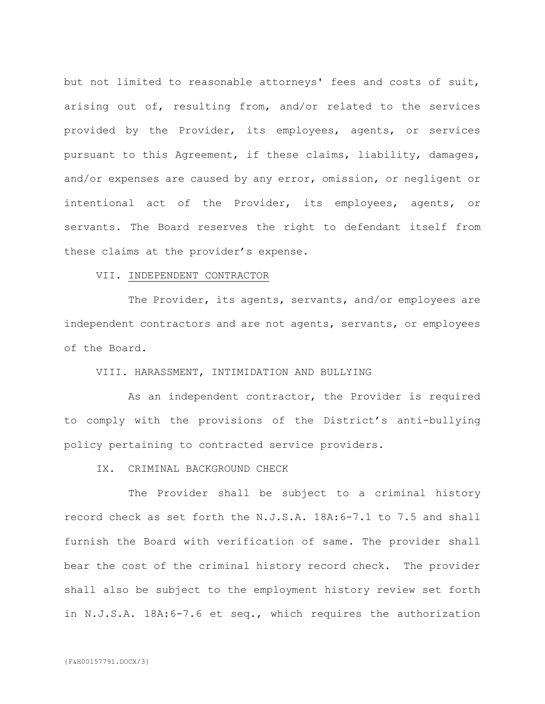but not limited to reasonable attorneys' fees and costs of suit, arising out of, resulting from, and/or related to the services provided by the Provider, its employees, agents, or services pursuant to this Agreement, if these claims, liability, damages, and/or expenses are caused by any error, omission, or negligent or intentional act of the Provider, its employees, agents, or servants. The Board reserves the right to defendant itself from these claims at the provider's expense.

### VII. INDEPENDENT CONTRACTOR

The Provider, its agents, servants, and/or employees are independent contractors and are not agents, servants, or employees of the Board.

### VIII. HARASSMENT, INTIMIDATION AND BULLYING

As an independent contractor, the Provider is required to comply with the provisions of the District's anti-bullying policy pertaining to contracted service providers.

### IX. CRIMINAL BACKGROUND CHECK

The Provider shall be subject to a criminal history record check as set forth the N.J.S.A. 18A:6-7.1 to 7.5 and shall furnish the Board with verification of same. The provider shall bear the cost of the criminal history record check. The provider shall also be subject to the employment history review set forth in N.J.S.A. 18A:6-7.6 et seq., which requires the authorization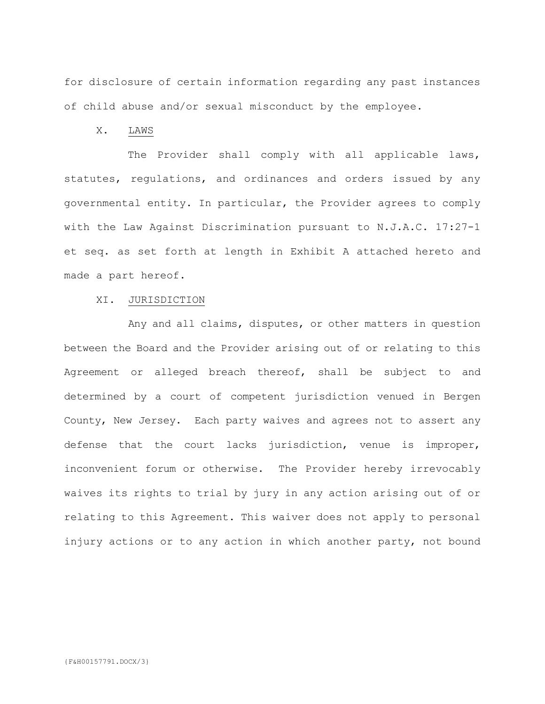for disclosure of certain information regarding any past instances of child abuse and/or sexual misconduct by the employee.

X. LAWS

The Provider shall comply with all applicable laws, statutes, regulations, and ordinances and orders issued by any governmental entity. In particular, the Provider agrees to comply with the Law Against Discrimination pursuant to N.J.A.C. 17:27-1 et seq. as set forth at length in Exhibit A attached hereto and made a part hereof.

### XI. JURISDICTION

Any and all claims, disputes, or other matters in question between the Board and the Provider arising out of or relating to this Agreement or alleged breach thereof, shall be subject to and determined by a court of competent jurisdiction venued in Bergen County, New Jersey. Each party waives and agrees not to assert any defense that the court lacks jurisdiction, venue is improper, inconvenient forum or otherwise. The Provider hereby irrevocably waives its rights to trial by jury in any action arising out of or relating to this Agreement. This waiver does not apply to personal injury actions or to any action in which another party, not bound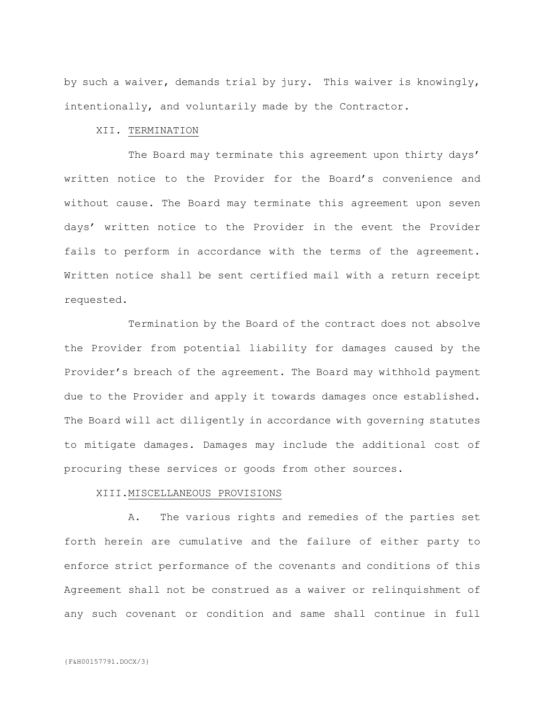by such a waiver, demands trial by jury. This waiver is knowingly, intentionally, and voluntarily made by the Contractor.

### XII. TERMINATION

The Board may terminate this agreement upon thirty days' written notice to the Provider for the Board's convenience and without cause. The Board may terminate this agreement upon seven days' written notice to the Provider in the event the Provider fails to perform in accordance with the terms of the agreement. Written notice shall be sent certified mail with a return receipt requested.

Termination by the Board of the contract does not absolve the Provider from potential liability for damages caused by the Provider's breach of the agreement. The Board may withhold payment due to the Provider and apply it towards damages once established. The Board will act diligently in accordance with governing statutes to mitigate damages. Damages may include the additional cost of procuring these services or goods from other sources.

### XIII.MISCELLANEOUS PROVISIONS

A. The various rights and remedies of the parties set forth herein are cumulative and the failure of either party to enforce strict performance of the covenants and conditions of this Agreement shall not be construed as a waiver or relinquishment of any such covenant or condition and same shall continue in full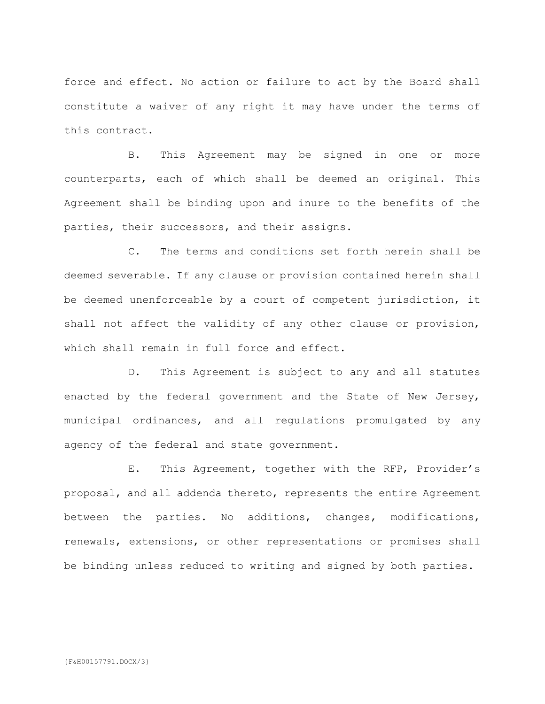force and effect. No action or failure to act by the Board shall constitute a waiver of any right it may have under the terms of this contract.

B. This Agreement may be signed in one or more counterparts, each of which shall be deemed an original. This Agreement shall be binding upon and inure to the benefits of the parties, their successors, and their assigns.

C. The terms and conditions set forth herein shall be deemed severable. If any clause or provision contained herein shall be deemed unenforceable by a court of competent jurisdiction, it shall not affect the validity of any other clause or provision, which shall remain in full force and effect.

D. This Agreement is subject to any and all statutes enacted by the federal government and the State of New Jersey, municipal ordinances, and all regulations promulgated by any agency of the federal and state government.

E. This Agreement, together with the RFP, Provider's proposal, and all addenda thereto, represents the entire Agreement between the parties. No additions, changes, modifications, renewals, extensions, or other representations or promises shall be binding unless reduced to writing and signed by both parties.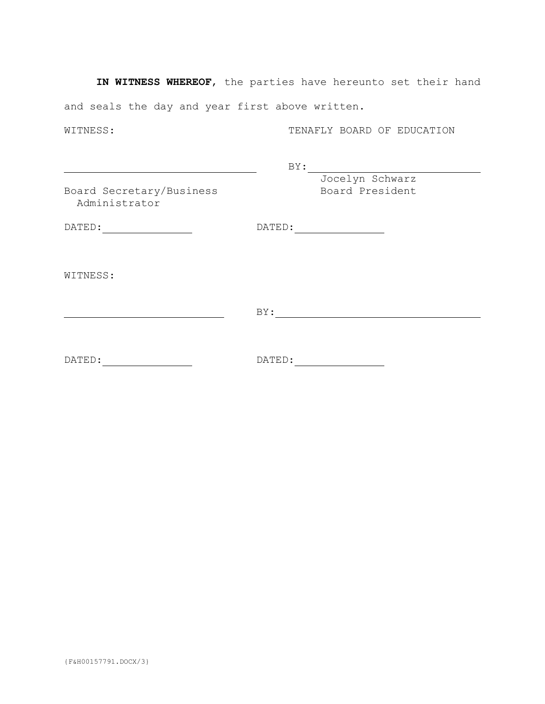**IN WITNESS WHEREOF**, the parties have hereunto set their hand and seals the day and year first above written.

WITNESS: TENAFLY BOARD OF EDUCATION

BY: Jocelyn Schwarz Board Secretary/Business Board President Administrator DATED: DATED: WITNESS:

BY:

DATED: DATED: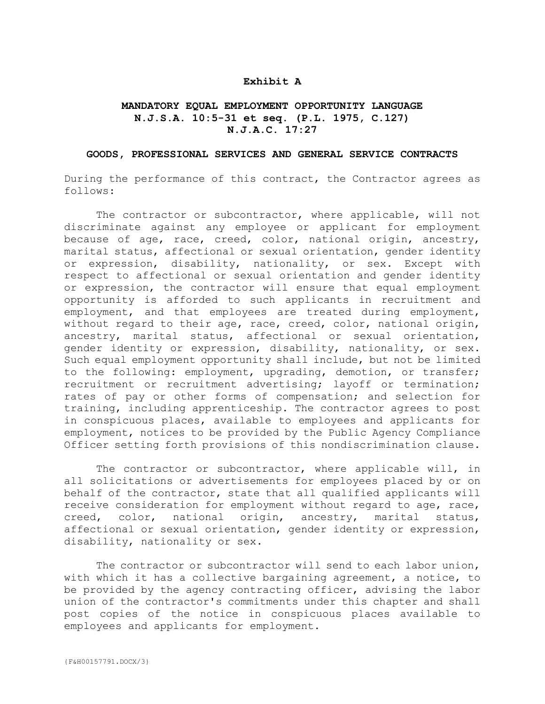### **Exhibit A**

### **MANDATORY EQUAL EMPLOYMENT OPPORTUNITY LANGUAGE N.J.S.A. 10:5-31 et seq. (P.L. 1975, C.127) N.J.A.C. 17:27**

#### **GOODS, PROFESSIONAL SERVICES AND GENERAL SERVICE CONTRACTS**

During the performance of this contract, the Contractor agrees as follows:

The contractor or subcontractor, where applicable, will not discriminate against any employee or applicant for employment because of age, race, creed, color, national origin, ancestry, marital status, affectional or sexual orientation, gender identity or expression, disability, nationality, or sex. Except with respect to affectional or sexual orientation and gender identity or expression, the contractor will ensure that equal employment opportunity is afforded to such applicants in recruitment and employment, and that employees are treated during employment, without regard to their age, race, creed, color, national origin, ancestry, marital status, affectional or sexual orientation, gender identity or expression, disability, nationality, or sex. Such equal employment opportunity shall include, but not be limited to the following: employment, upgrading, demotion, or transfer; recruitment or recruitment advertising; layoff or termination; rates of pay or other forms of compensation; and selection for training, including apprenticeship. The contractor agrees to post in conspicuous places, available to employees and applicants for employment, notices to be provided by the Public Agency Compliance Officer setting forth provisions of this nondiscrimination clause.

The contractor or subcontractor, where applicable will, in all solicitations or advertisements for employees placed by or on behalf of the contractor, state that all qualified applicants will receive consideration for employment without regard to age, race, creed, color, national origin, ancestry, marital status, affectional or sexual orientation, gender identity or expression, disability, nationality or sex.

The contractor or subcontractor will send to each labor union, with which it has a collective bargaining agreement, a notice, to be provided by the agency contracting officer, advising the labor union of the contractor's commitments under this chapter and shall post copies of the notice in conspicuous places available to employees and applicants for employment.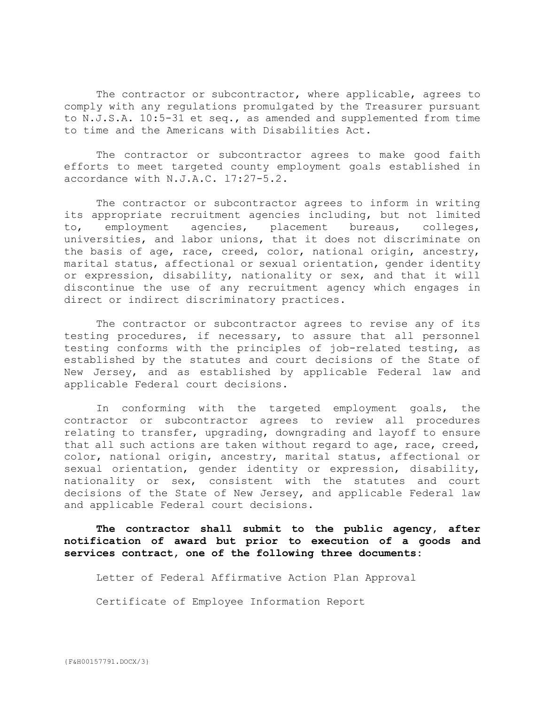The contractor or subcontractor, where applicable, agrees to comply with any regulations promulgated by the Treasurer pursuant to N.J.S.A. 10:5-31 et seq., as amended and supplemented from time to time and the Americans with Disabilities Act.

The contractor or subcontractor agrees to make good faith efforts to meet targeted county employment goals established in accordance with N.J.A.C. l7:27-5.2.

The contractor or subcontractor agrees to inform in writing its appropriate recruitment agencies including, but not limited to, employment agencies, placement bureaus, colleges, universities, and labor unions, that it does not discriminate on the basis of age, race, creed, color, national origin, ancestry, marital status, affectional or sexual orientation, gender identity or expression, disability, nationality or sex, and that it will discontinue the use of any recruitment agency which engages in direct or indirect discriminatory practices.

The contractor or subcontractor agrees to revise any of its testing procedures, if necessary, to assure that all personnel testing conforms with the principles of job-related testing, as established by the statutes and court decisions of the State of New Jersey, and as established by applicable Federal law and applicable Federal court decisions.

In conforming with the targeted employment goals, the contractor or subcontractor agrees to review all procedures relating to transfer, upgrading, downgrading and layoff to ensure that all such actions are taken without regard to age, race, creed, color, national origin, ancestry, marital status, affectional or sexual orientation, gender identity or expression, disability, nationality or sex, consistent with the statutes and court decisions of the State of New Jersey, and applicable Federal law and applicable Federal court decisions.

**The contractor shall submit to the public agency, after notification of award but prior to execution of a goods and services contract, one of the following three documents:**

Letter of Federal Affirmative Action Plan Approval

Certificate of Employee Information Report